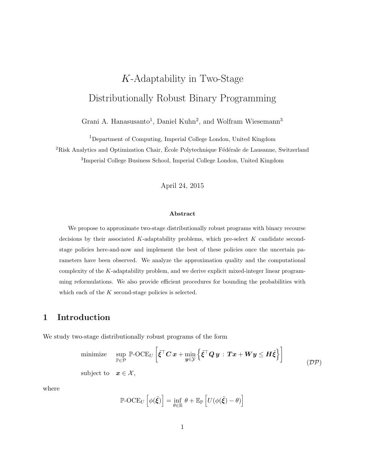# K-Adaptability in Two-Stage Distributionally Robust Binary Programming

Grani A. Hanasusanto<sup>1</sup>, Daniel Kuhn<sup>2</sup>, and Wolfram Wiesemann<sup>3</sup>

<sup>1</sup>Department of Computing, Imperial College London, United Kingdom

 ${}^{2}$ Risk Analytics and Optimization Chair, École Polytechnique Fédérale de Lausanne, Switzerland

3 Imperial College Business School, Imperial College London, United Kingdom

April 24, 2015

#### Abstract

We propose to approximate two-stage distributionally robust programs with binary recourse decisions by their associated  $K$ -adaptability problems, which pre-select  $K$  candidate secondstage policies here-and-now and implement the best of these policies once the uncertain parameters have been observed. We analyze the approximation quality and the computational complexity of the K-adaptability problem, and we derive explicit mixed-integer linear programming reformulations. We also provide efficient procedures for bounding the probabilities with which each of the  $K$  second-stage policies is selected.

# 1 Introduction

We study two-stage distributionally robust programs of the form

minimize 
$$
\sup_{\mathbb{P}\in\mathcal{P}} \mathbb{P}\text{-OCE}_U\left[\tilde{\xi}^\top C \, x + \min_{\mathbf{y}\in\mathcal{Y}} \left\{\tilde{\xi}^\top Q \, \mathbf{y} \, : \, Tx + W \mathbf{y} \leq H \tilde{\xi}\right\}\right]
$$
  
subject to  $\mathbf{x} \in \mathcal{X}$ ,  $(\mathcal{DP})$ 

where

$$
\mathbb{P}\text{-} \mathrm{OCE}_U\left[\phi(\tilde{\xi})\right] = \inf_{\theta \in \mathbb{R}} \theta + \mathbb{E}_{\mathbb{P}}\left[U(\phi(\tilde{\xi}) - \theta)\right]
$$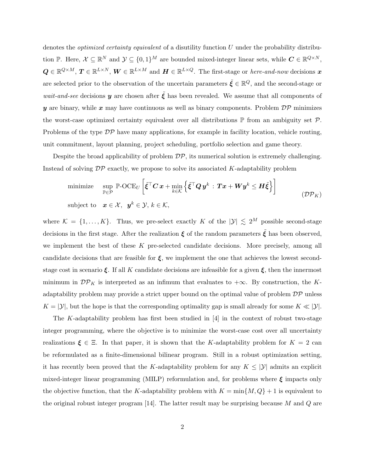denotes the *optimized certainty equivalent* of a disutility function  $U$  under the probability distribution P. Here,  $\mathcal{X} \subseteq \mathbb{R}^N$  and  $\mathcal{Y} \subseteq \{0,1\}^M$  are bounded mixed-integer linear sets, while  $\mathbf{C} \in \mathbb{R}^{Q \times N}$ ,  $Q \in \mathbb{R}^{Q \times M}$ ,  $T \in \mathbb{R}^{L \times N}$ ,  $W \in \mathbb{R}^{L \times M}$  and  $H \in \mathbb{R}^{L \times Q}$ . The first-stage or *here-and-now* decisions x are selected prior to the observation of the uncertain parameters  $\tilde{\xi} \in \mathbb{R}^Q$ , and the second-stage or *wait-and-see* decisions y are chosen after  $\tilde{\xi}$  has been revealed. We assume that all components of y are binary, while x may have continuous as well as binary components. Problem  $\mathcal{DP}$  minimizes the worst-case optimized certainty equivalent over all distributions  $\mathbb P$  from an ambiguity set  $\mathcal P$ . Problems of the type  $\mathcal{DP}$  have many applications, for example in facility location, vehicle routing, unit commitment, layout planning, project scheduling, portfolio selection and game theory.

Despite the broad applicability of problem  $\mathcal{DP}$ , its numerical solution is extremely challenging. Instead of solving  $\mathcal{DP}$  exactly, we propose to solve its associated K-adaptability problem

minimize 
$$
\sup_{\mathbb{P}\in\mathcal{P}} \mathbb{P}\text{-OCE}_U\left[\tilde{\xi}^\top C \, x + \min_{k\in\mathcal{K}} \left\{\tilde{\xi}^\top Q \, y^k : \, Tx + W y^k \leq H \tilde{\xi}\right\}\right]
$$
  
subject to  $x \in \mathcal{X}, y^k \in \mathcal{Y}, k \in \mathcal{K},$  (DP<sub>K</sub>)

where  $\mathcal{K} = \{1, ..., K\}$ . Thus, we pre-select exactly K of the  $|\mathcal{Y}| \leq 2^M$  possible second-stage decisions in the first stage. After the realization  $\xi$  of the random parameters  $\xi$  has been observed, we implement the best of these K pre-selected candidate decisions. More precisely, among all candidate decisions that are feasible for  $\xi$ , we implement the one that achieves the lowest secondstage cost in scenario  $\xi$ . If all K candidate decisions are infeasible for a given  $\xi$ , then the innermost minimum in  $\mathcal{DP}_K$  is interpreted as an infimum that evaluates to  $+\infty$ . By construction, the Kadaptability problem may provide a strict upper bound on the optimal value of problem  $\mathcal{DP}$  unless  $K = |\mathcal{Y}|$ , but the hope is that the corresponding optimality gap is small already for some  $K \ll |\mathcal{Y}|$ .

The K-adaptability problem has first been studied in  $[4]$  in the context of robust two-stage integer programming, where the objective is to minimize the worst-case cost over all uncertainty realizations  $\xi \in \Xi$ . In that paper, it is shown that the K-adaptability problem for  $K = 2$  can be reformulated as a finite-dimensional bilinear program. Still in a robust optimization setting, it has recently been proved that the K-adaptability problem for any  $K \leq |\mathcal{Y}|$  admits an explicit mixed-integer linear programming (MILP) reformulation and, for problems where  $\xi$  impacts only the objective function, that the K-adaptability problem with  $K = \min\{M, Q\} + 1$  is equivalent to the original robust integer program  $[14]$ . The latter result may be surprising because M and Q are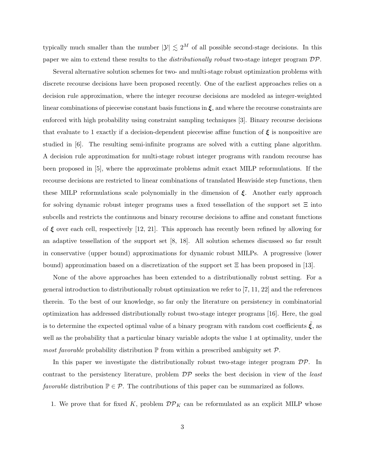typically much smaller than the number  $|\mathcal{Y}| \lesssim 2^M$  of all possible second-stage decisions. In this paper we aim to extend these results to the *distributionally robust* two-stage integer program  $DP$ .

Several alternative solution schemes for two- and multi-stage robust optimization problems with discrete recourse decisions have been proposed recently. One of the earliest approaches relies on a decision rule approximation, where the integer recourse decisions are modeled as integer-weighted linear combinations of piecewise constant basis functions in  $\xi$ , and where the recourse constraints are enforced with high probability using constraint sampling techniques [3]. Binary recourse decisions that evaluate to 1 exactly if a decision-dependent piecewise affine function of  $\xi$  is nonpositive are studied in [6]. The resulting semi-infinite programs are solved with a cutting plane algorithm. A decision rule approximation for multi-stage robust integer programs with random recourse has been proposed in [5], where the approximate problems admit exact MILP reformulations. If the recourse decisions are restricted to linear combinations of translated Heaviside step functions, then these MILP reformulations scale polynomially in the dimension of  $\xi$ . Another early approach for solving dynamic robust integer programs uses a fixed tessellation of the support set  $\Xi$  into subcells and restricts the continuous and binary recourse decisions to affine and constant functions of  $\xi$  over each cell, respectively [12, 21]. This approach has recently been refined by allowing for an adaptive tessellation of the support set [8, 18]. All solution schemes discussed so far result in conservative (upper bound) approximations for dynamic robust MILPs. A progressive (lower bound) approximation based on a discretization of the support set Ξ has been proposed in [13].

None of the above approaches has been extended to a distributionally robust setting. For a general introduction to distributionally robust optimization we refer to [7, 11, 22] and the references therein. To the best of our knowledge, so far only the literature on persistency in combinatorial optimization has addressed distributionally robust two-stage integer programs [16]. Here, the goal is to determine the expected optimal value of a binary program with random cost coefficients  $\xi$ , as well as the probability that a particular binary variable adopts the value 1 at optimality, under the *most favorable* probability distribution  $\mathbb P$  from within a prescribed ambiguity set  $\mathcal P$ .

In this paper we investigate the distributionally robust two-stage integer program  $\mathcal{DP}$ . In contrast to the persistency literature, problem  $\mathcal{DP}$  seeks the best decision in view of the *least* favorable distribution  $\mathbb{P} \in \mathcal{P}$ . The contributions of this paper can be summarized as follows.

1. We prove that for fixed K, problem  $\mathcal{DP}_K$  can be reformulated as an explicit MILP whose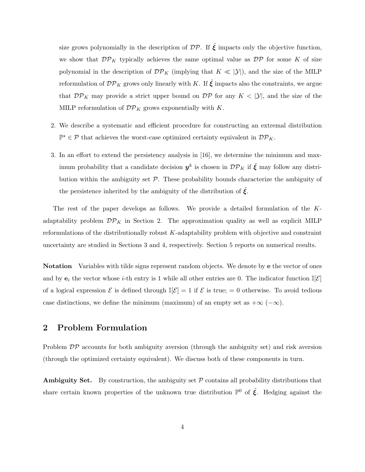size grows polynomially in the description of  $\mathcal{DP}$ . If  $\tilde{\xi}$  impacts only the objective function, we show that  $\mathcal{DP}_K$  typically achieves the same optimal value as  $\mathcal{DP}$  for some K of size polynomial in the description of  $\mathcal{DP}_K$  (implying that  $K \ll |\mathcal{Y}|$ ), and the size of the MILP reformulation of  $\mathcal{DP}_K$  grows only linearly with K. If  $\tilde{\xi}$  impacts also the constraints, we argue that  $\mathcal{DP}_K$  may provide a strict upper bound on  $\mathcal{DP}$  for any  $K < |\mathcal{Y}|$ , and the size of the MILP reformulation of  $\mathcal{DP}_K$  grows exponentially with K.

- 2. We describe a systematic and efficient procedure for constructing an extremal distribution  $\mathbb{P}^{\star} \in \mathcal{P}$  that achieves the worst-case optimized certainty equivalent in  $\mathcal{DP}_K$ .
- 3. In an effort to extend the persistency analysis in [16], we determine the minimum and maximum probability that a candidate decision  $y^k$  is chosen in  $\mathcal{DP}_K$  if  $\tilde{\xi}$  may follow any distribution within the ambiguity set  $P$ . These probability bounds characterize the ambiguity of the persistence inherited by the ambiguity of the distribution of  $\xi$ .

The rest of the paper develops as follows. We provide a detailed formulation of the Kadaptability problem  $\mathcal{DP}_K$  in Section 2. The approximation quality as well as explicit MILP reformulations of the distributionally robust K-adaptability problem with objective and constraint uncertainty are studied in Sections 3 and 4, respectively. Section 5 reports on numerical results.

Notation Variables with tilde signs represent random objects. We denote by e the vector of ones and by  $e_i$  the vector whose *i*-th entry is 1 while all other entries are 0. The indicator function  $\mathbb{I}[\mathcal{E}]$ of a logical expression  $\mathcal E$  is defined through  $\mathbb{I}[\mathcal E]=1$  if  $\mathcal E$  is true;  $=0$  otherwise. To avoid tedious case distinctions, we define the minimum (maximum) of an empty set as  $+\infty$  ( $-\infty$ ).

## 2 Problem Formulation

Problem  $\mathcal{DP}$  accounts for both ambiguity aversion (through the ambiguity set) and risk aversion (through the optimized certainty equivalent). We discuss both of these components in turn.

**Ambiguity Set.** By construction, the ambiguity set  $P$  contains all probability distributions that share certain known properties of the unknown true distribution  $\mathbb{P}^0$  of  $\tilde{\xi}$ . Hedging against the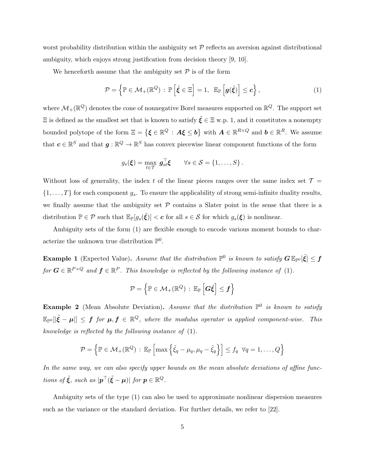worst probability distribution within the ambiguity set  $P$  reflects an aversion against distributional ambiguity, which enjoys strong justification from decision theory [9, 10].

We henceforth assume that the ambiguity set  $P$  is of the form

$$
\mathcal{P} = \left\{ \mathbb{P} \in \mathcal{M}_+ (\mathbb{R}^Q) : \mathbb{P} \left[ \tilde{\xi} \in \Xi \right] = 1, \ \mathbb{E}_{\mathbb{P}} \left[ g(\tilde{\xi}) \right] \leq c \right\},\tag{1}
$$

where  $\mathcal{M}_{+}(\mathbb{R}^{Q})$  denotes the cone of nonnegative Borel measures supported on  $\mathbb{R}^{Q}$ . The support set  $\Xi$  is defined as the smallest set that is known to satisfy  $\tilde{\xi} \in \Xi$  w.p. 1, and it constitutes a nonempty bounded polytope of the form  $\Xi = \{ \boldsymbol{\xi} \in \mathbb{R}^Q : A \boldsymbol{\xi} \leq \boldsymbol{b} \}$  with  $A \in \mathbb{R}^{R \times Q}$  and  $\boldsymbol{b} \in \mathbb{R}^R$ . We assume that  $c \in \mathbb{R}^S$  and that  $g: \mathbb{R}^Q \to \mathbb{R}^S$  has convex piecewise linear component functions of the form

$$
g_s(\boldsymbol{\xi}) = \max_{t \in \mathcal{T}} \, \boldsymbol{g}_{st}^\top \boldsymbol{\xi} \qquad \forall s \in \mathcal{S} = \{1, \ldots, S\}.
$$

Without loss of generality, the index t of the linear pieces ranges over the same index set  $\mathcal{T} =$  $\{1, \ldots, T\}$  for each component  $g_s$ . To ensure the applicability of strong semi-infinite duality results, we finally assume that the ambiguity set  $P$  contains a Slater point in the sense that there is a distribution  $\mathbb{P} \in \mathcal{P}$  such that  $\mathbb{E}_{\mathbb{P}}[g_s(\tilde{\xi})] < c$  for all  $s \in \mathcal{S}$  for which  $g_s(\xi)$  is nonlinear.

Ambiguity sets of the form (1) are flexible enough to encode various moment bounds to characterize the unknown true distribution  $\mathbb{P}^0$ .

**Example 1** (Expected Value). Assume that the distribution  $\mathbb{P}^0$  is known to satisfy  $G \mathbb{E}_{\mathbb{P}^0}[\tilde{\xi}] \leq f$ for  $G \in \mathbb{R}^{P \times Q}$  and  $f \in \mathbb{R}^P$ . This knowledge is reflected by the following instance of (1).

$$
\mathcal{P} = \left\{ \mathbb{P} \in \mathcal{M}_+ (\mathbb{R}^Q) \, : \, \mathbb{E}_{\mathbb{P}} \left[ G \tilde{\xi} \right] \leq f \right\}
$$

**Example 2** (Mean Absolute Deviation). Assume that the distribution  $\mathbb{P}^0$  is known to satisfy  $\mathbb{E}_{\mathbb{P}^0}[|\tilde{\xi}-\mu|] \leq f$  for  $\mu, f \in \mathbb{R}^Q$ , where the modulus operator is applied component-wise. This knowledge is reflected by the following instance of (1).

$$
\mathcal{P} = \left\{ \mathbb{P} \in \mathcal{M}_+(\mathbb{R}^Q) : \mathbb{E}_{\mathbb{P}} \left[ \max \left\{ \tilde{\xi}_q - \mu_q, \mu_q - \tilde{\xi}_q \right\} \right] \leq f_q \ \forall q = 1, \dots, Q \right\}
$$

In the same way, we can also specify upper bounds on the mean absolute deviations of affine functions of  $\tilde{\xi}$ , such as  $|\boldsymbol{p}^{\top}(\tilde{\xi}-\boldsymbol{\mu})|$  for  $\boldsymbol{p} \in \mathbb{R}^Q$ .

Ambiguity sets of the type (1) can also be used to approximate nonlinear dispersion measures such as the variance or the standard deviation. For further details, we refer to [22].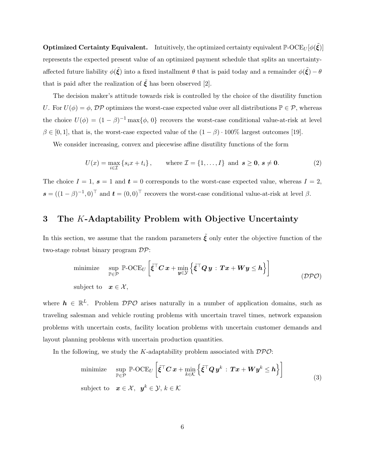**Optimized Certainty Equivalent.** Intuitively, the optimized certainty equivalent  $\mathbb{P}\text{-} \mathrm{OCE}_U[\phi(\tilde{\xi})]$ represents the expected present value of an optimized payment schedule that splits an uncertaintyaffected future liability  $\phi(\tilde{\xi})$  into a fixed installment  $\theta$  that is paid today and a remainder  $\phi(\tilde{\xi})-\theta$ that is paid after the realization of  $\zeta$  has been observed [2].

The decision maker's attitude towards risk is controlled by the choice of the disutility function U. For  $U(\phi) = \phi$ ,  $\mathcal{DP}$  optimizes the worst-case expected value over all distributions  $\mathbb{P} \in \mathcal{P}$ , whereas the choice  $U(\phi) = (1 - \beta)^{-1} \max{\lbrace \phi, 0 \rbrace}$  recovers the worst-case conditional value-at-risk at level  $\beta \in [0, 1]$ , that is, the worst-case expected value of the  $(1 - \beta) \cdot 100\%$  largest outcomes [19].

We consider increasing, convex and piecewise affine disutility functions of the form

$$
U(x) = \max_{i \in \mathcal{I}} \left\{ s_i x + t_i \right\}, \qquad \text{where } \mathcal{I} = \left\{ 1, \dots, I \right\} \text{ and } \mathbf{s} \ge \mathbf{0}, \, \mathbf{s} \ne \mathbf{0}. \tag{2}
$$

The choice  $I = 1$ ,  $s = 1$  and  $t = 0$  corresponds to the worst-case expected value, whereas  $I = 2$ ,  $\mathbf{s} = ((1 - \beta)^{-1}, 0)^{\top}$  and  $\mathbf{t} = (0, 0)^{\top}$  recovers the worst-case conditional value-at-risk at level  $\beta$ .

## 3 The K-Adaptability Problem with Objective Uncertainty

In this section, we assume that the random parameters  $\tilde{\xi}$  only enter the objective function of the two-stage robust binary program DP:

minimize 
$$
\sup_{\mathbb{P}\in\mathcal{P}} \mathbb{P}\text{-OCE}_U\left[\tilde{\xi}^\top C \, x + \min_{\mathbf{y}\in\mathcal{Y}} \left\{\tilde{\xi}^\top Q \, \mathbf{y} \, : \, \mathbf{T} \mathbf{x} + \mathbf{W} \mathbf{y} \leq \mathbf{h}\right\}\right]
$$
  
subject to  $\mathbf{x} \in \mathcal{X}$ , (DPO)

where  $h \in \mathbb{R}^L$ . Problem  $\mathcal{DPO}$  arises naturally in a number of application domains, such as traveling salesman and vehicle routing problems with uncertain travel times, network expansion problems with uncertain costs, facility location problems with uncertain customer demands and layout planning problems with uncertain production quantities.

In the following, we study the K-adaptability problem associated with  $\mathcal{DPO}$ :

minimize 
$$
\sup_{\mathbb{P}\in\mathcal{P}} \mathbb{P}\text{-OCE}_U\left[\tilde{\xi}^\top C \, x + \min_{k\in\mathcal{K}} \left\{\tilde{\xi}^\top Q \, y^k : \, \mathbf{T} x + \mathbf{W} y^k \leq h\right\}\right]
$$
  
subject to  $\mathbf{x} \in \mathcal{X}, \ \mathbf{y}^k \in \mathcal{Y}, \ k \in \mathcal{K}$  (3)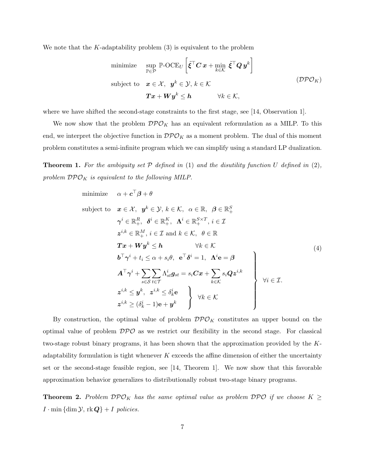We note that the  $K$ -adaptability problem (3) is equivalent to the problem

minimize 
$$
\sup_{\mathbb{P}\in\mathcal{P}} \mathbb{P}\text{-OCE}_U \left[ \tilde{\xi}^\top C \mathbf{x} + \min_{k \in \mathcal{K}} \tilde{\xi}^\top Q \mathbf{y}^k \right]
$$
  
\nsubject to  $\mathbf{x} \in \mathcal{X}, \ \mathbf{y}^k \in \mathcal{Y}, k \in \mathcal{K}$   
\n $\mathbf{T}\mathbf{x} + \mathbf{W}\mathbf{y}^k \leq \mathbf{h} \qquad \forall k \in \mathcal{K},$  (DPO<sub>K</sub>)

where we have shifted the second-stage constraints to the first stage, see [14, Observation 1].

We now show that the problem  $\mathcal{DPO}_K$  has an equivalent reformulation as a MILP. To this end, we interpret the objective function in  $\mathcal{DPO}_K$  as a moment problem. The dual of this moment problem constitutes a semi-infinite program which we can simplify using a standard LP dualization.

**Theorem 1.** For the ambiguity set  $P$  defined in (1) and the disutility function U defined in (2), problem  $\mathcal{DPO}_K$  is equivalent to the following MILP.

minimize 
$$
\alpha + c^{\top}\beta + \theta
$$
  
\nsubject to  $\mathbf{x} \in \mathcal{X}, \mathbf{y}^{k} \in \mathcal{Y}, k \in \mathcal{K}, \alpha \in \mathbb{R}, \beta \in \mathbb{R}_{+}^{S}$   
\n $\gamma^{i} \in \mathbb{R}_{+}^{R}, \delta^{i} \in \mathbb{R}_{+}^{K}, \Lambda^{i} \in \mathbb{R}_{+}^{S \times T}, i \in \mathcal{I}$   
\n $z^{i,k} \in \mathbb{R}_{+}^{M}, i \in \mathcal{I} \text{ and } k \in \mathcal{K}, \theta \in \mathbb{R}$   
\n $\mathbf{T}\mathbf{x} + \mathbf{W}\mathbf{y}^{k} \leq \mathbf{h}$   $\forall k \in \mathcal{K}$   
\n $\mathbf{b}^{\top}\gamma^{i} + t_{i} \leq \alpha + s_{i}\theta, \mathbf{e}^{\top}\delta^{i} = 1, \Lambda^{i}\mathbf{e} = \beta$   
\n $\mathbf{A}^{\top}\gamma^{i} + \sum_{s \in S} \sum_{t \in \mathcal{T}} \Lambda_{st}^{i} \mathbf{g}_{st} = s_{i}C\mathbf{x} + \sum_{k \in \mathcal{K}} s_{i}Qz^{i,k}$   
\n $z^{i,k} \leq \mathbf{y}^{k}, \mathbf{z}^{i,k} \leq \delta_{k}^{i}\mathbf{e}$   
\n $z^{i,k} \geq (\delta_{k}^{i} - 1)\mathbf{e} + \mathbf{y}^{k}$   $\forall k \in \mathcal{K}$ 

By construction, the optimal value of problem  $\mathcal{DPO}_K$  constitutes an upper bound on the optimal value of problem  $\mathcal{DPO}$  as we restrict our flexibility in the second stage. For classical two-stage robust binary programs, it has been shown that the approximation provided by the Kadaptability formulation is tight whenever  $K$  exceeds the affine dimension of either the uncertainty set or the second-stage feasible region, see [14, Theorem 1]. We now show that this favorable approximation behavior generalizes to distributionally robust two-stage binary programs.

**Theorem 2.** Problem  $\mathcal{DPO}_K$  has the same optimal value as problem  $\mathcal{DPO}$  if we choose  $K \geq$  $I \cdot \min \{\dim \mathcal{Y}, \text{rk } \mathbf{Q}\} + I \text{ policies.}$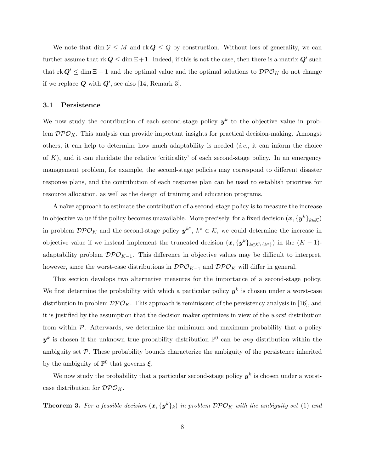We note that  $\dim \mathcal{Y} \leq M$  and  $\text{rk } Q \leq Q$  by construction. Without loss of generality, we can further assume that  $rk Q \leq \dim \Xi + 1$ . Indeed, if this is not the case, then there is a matrix  $Q'$  such that  $\text{rk } Q' \leq \dim \Xi + 1$  and the optimal value and the optimal solutions to  $\mathcal{DPO}_K$  do not change if we replace  $Q$  with  $Q'$ , see also [14, Remark 3].

#### 3.1 Persistence

We now study the contribution of each second-stage policy  $y^k$  to the objective value in problem  $\mathcal{DPO}_K$ . This analysis can provide important insights for practical decision-making. Amongst others, it can help to determine how much adaptability is needed (i.e., it can inform the choice of  $K$ ), and it can elucidate the relative 'criticality' of each second-stage policy. In an emergency management problem, for example, the second-stage policies may correspond to different disaster response plans, and the contribution of each response plan can be used to establish priorities for resource allocation, as well as the design of training and education programs.

A naïve approach to estimate the contribution of a second-stage policy is to measure the increase in objective value if the policy becomes unavailable. More precisely, for a fixed decision  $(\bm{x},\{\bm{y}^k\}_{k\in\mathcal{K}})$ in problem  $\mathcal{DPO}_K$  and the second-stage policy  $y^{k^*}, k^* \in \mathcal{K}$ , we could determine the increase in objective value if we instead implement the truncated decision  $(x, \{y^k\}_{k \in \mathcal{K}\setminus\{k^*\}})$  in the  $(K-1)$ adaptability problem  $\mathcal{DPO}_{K-1}$ . This difference in objective values may be difficult to interpret, however, since the worst-case distributions in  $\mathcal{DPO}_{K-1}$  and  $\mathcal{DPO}_K$  will differ in general.

This section develops two alternative measures for the importance of a second-stage policy. We first determine the probability with which a particular policy  $y^k$  is chosen under a worst-case distribution in problem  $\mathcal{DPO}_K$ . This approach is reminiscent of the persistency analysis in [16], and it is justified by the assumption that the decision maker optimizes in view of the worst distribution from within  $P$ . Afterwards, we determine the minimum and maximum probability that a policy  $y^k$  is chosen if the unknown true probability distribution  $\mathbb{P}^0$  can be any distribution within the ambiguity set  $\mathcal{P}$ . These probability bounds characterize the ambiguity of the persistence inherited by the ambiguity of  $\mathbb{P}^0$  that governs  $\tilde{\xi}$ .

We now study the probability that a particular second-stage policy  $y^k$  is chosen under a worstcase distribution for  $\mathcal{DPO}_K$ .

**Theorem 3.** For a feasible decision  $(x, \{y^k\}_k)$  in problem  $\mathcal{DPO}_K$  with the ambiguity set (1) and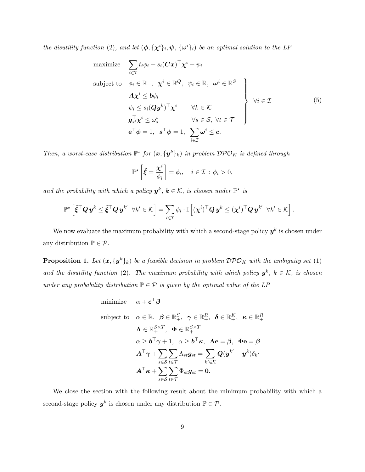the disutility function (2), and let  $(\phi, {\{\chi^i\}}_i, \psi, {\{\omega^i\}}_i)$  be an optimal solution to the LP

maximize 
$$
\sum_{i \in \mathcal{I}} t_i \phi_i + s_i (\mathbf{C} \mathbf{x})^\top \mathbf{\chi}^i + \psi_i
$$
  
\nsubject to 
$$
\phi_i \in \mathbb{R}_+, \quad \mathbf{\chi}^i \in \mathbb{R}^Q, \quad \psi_i \in \mathbb{R}, \quad \omega^i \in \mathbb{R}^S
$$
\n
$$
\mathbf{A} \mathbf{\chi}^i \leq b \phi_i
$$
\n
$$
\psi_i \leq s_i (\mathbf{Q} \mathbf{y}^k)^\top \mathbf{\chi}^i \qquad \forall k \in \mathcal{K}
$$
\n
$$
\mathbf{g}_{st}^\top \mathbf{\chi}^i \leq \omega_s^i \qquad \forall s \in \mathcal{S}, \forall t \in \mathcal{T}
$$
\n
$$
\mathbf{e}^\top \phi = 1, \quad \mathbf{s}^\top \phi = 1, \quad \sum_{i \in \mathcal{I}} \omega^i \leq c.
$$
\n(5)

Then, a worst-case distribution  $\mathbb{P}^{\star}$  for  $(x, \{y^k\}_k)$  in problem  $\mathcal{DPO}_K$  is defined through

$$
\mathbb{P}^{\star}\left[\tilde{\xi}=\frac{\chi^i}{\phi_i}\right]=\phi_i, \quad i\in\mathcal{I}: \phi_i>0,
$$

and the probability with which a policy  $y^k$ ,  $k \in K$ , is chosen under  $\mathbb{P}^*$  is

$$
\mathbb{P}^\star\left[\tilde{\boldsymbol{\xi}}^\top\boldsymbol{Q}\,\boldsymbol{y}^k \leq \tilde{\boldsymbol{\xi}}^\top\boldsymbol{Q}\,\boldsymbol{y}^{k'} \;\;\forall k'\in \mathcal{K}\right] = \sum_{i\in\mathcal{I}}\phi_i\cdot \mathbb{I}\left[(\boldsymbol{\chi}^i)^\top\boldsymbol{Q}\,\boldsymbol{y}^k \leq (\boldsymbol{\chi}^i)^\top\boldsymbol{Q}\,\boldsymbol{y}^{k'} \;\;\forall k'\in \mathcal{K}\right].
$$

We now evaluate the maximum probability with which a second-stage policy  $y^k$  is chosen under any distribution  $\mathbb{P} \in \mathcal{P}$ .

**Proposition 1.** Let  $(x, \{y^k\}_k)$  be a feasible decision in problem  $\mathcal{DPO}_K$  with the ambiguity set (1) and the disutility function (2). The maximum probability with which policy  $y^k$ ,  $k \in \mathcal{K}$ , is chosen under any probability distribution  $\mathbb{P} \in \mathcal{P}$  is given by the optimal value of the LP

minimize 
$$
\alpha + \mathbf{c}^\top \boldsymbol{\beta}
$$
  
\nsubject to  $\alpha \in \mathbb{R}, \ \boldsymbol{\beta} \in \mathbb{R}_+^S, \ \boldsymbol{\gamma} \in \mathbb{R}_+^R, \ \boldsymbol{\delta} \in \mathbb{R}_+^K, \ \boldsymbol{\kappa} \in \mathbb{R}_+^R$   
\n $\Lambda \in \mathbb{R}_+^{S \times T}, \ \boldsymbol{\Phi} \in \mathbb{R}_+^{S \times T}$   
\n $\alpha \geq \mathbf{b}^\top \boldsymbol{\gamma} + 1, \ \alpha \geq \mathbf{b}^\top \mathbf{\kappa}, \ \Lambda \mathbf{e} = \boldsymbol{\beta}, \ \boldsymbol{\Phi} \mathbf{e} = \boldsymbol{\beta}$   
\n $\mathbf{A}^\top \boldsymbol{\gamma} + \sum_{s \in \mathcal{S}} \sum_{t \in \mathcal{T}} \Lambda_{st} g_{st} = \sum_{k' \in \mathcal{K}} Q(\mathbf{y}^{k'} - \mathbf{y}^k) \delta_{k'}$   
\n $\mathbf{A}^\top \boldsymbol{\kappa} + \sum_{s \in \mathcal{S}} \sum_{t \in \mathcal{T}} \Phi_{st} g_{st} = \mathbf{0}.$ 

We close the section with the following result about the minimum probability with which a second-stage policy  $y^k$  is chosen under any distribution  $\mathbb{P} \in \mathcal{P}$ .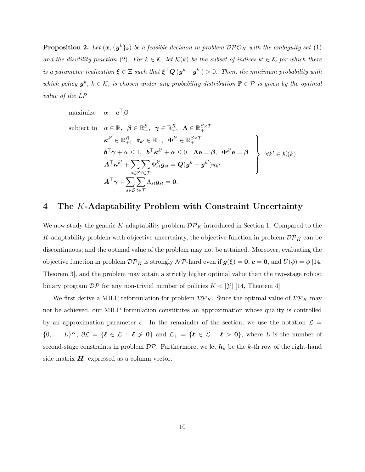**Proposition 2.** Let  $(x, \{y^k\}_k)$  be a feasible decision in problem  $\mathcal{DPO}_K$  with the ambiguity set (1) and the disutility function (2). For  $k \in \mathcal{K}$ , let  $\mathcal{K}(k)$  be the subset of indices  $k' \in \mathcal{K}$  for which there is a parameter realization  $\xi \in \Xi$  such that  $\xi^{\top} \mathbf{Q} (y^k - y^{k'}) > 0$ . Then, the minimum probability with which policy  $y^k$ ,  $k \in \mathcal{K}$ , is chosen under any probability distribution  $\mathbb{P} \in \mathcal{P}$  is given by the optimal value of the LP

maximize  $\alpha - \boldsymbol{c}^\top \boldsymbol{\beta}$ 

subject to 
$$
\alpha \in \mathbb{R}
$$
,  $\beta \in \mathbb{R}_{+}^{S}$ ,  $\gamma \in \mathbb{R}_{+}^{R}$ ,  $\Lambda \in \mathbb{R}_{+}^{S \times T}$   
\n
$$
\kappa^{k'} \in \mathbb{R}_{+}^{R}
$$
,  $\pi_{k'} \in \mathbb{R}_{+}$ ,  $\Phi^{k'} \in \mathbb{R}_{+}^{S \times T}$   
\n
$$
b^{\top} \gamma + \alpha \leq 1
$$
,  $b^{\top} \kappa^{k'} + \alpha \leq 0$ ,  $\Lambda \mathbf{e} = \beta$ ,  $\Phi^{k'} \mathbf{e} = \beta$   
\n
$$
A^{\top} \kappa^{k'} + \sum_{s \in S} \sum_{t \in \mathcal{T}} \Phi_{st}^{k'} g_{st} = Q(y^{k} - y^{k'}) \pi_{k'}
$$
  
\n
$$
A^{\top} \gamma + \sum_{s \in S} \sum_{t \in \mathcal{T}} \Lambda_{st} g_{st} = 0.
$$

## 4 The K-Adaptability Problem with Constraint Uncertainty

We now study the generic K-adaptability problem  $\mathcal{DP}_K$  introduced in Section 1. Compared to the K-adaptability problem with objective uncertainty, the objective function in problem  $\mathcal{DP}_K$  can be discontinuous, and the optimal value of the problem may not be attained. Moreover, evaluating the objective function in problem  $\mathcal{DP}_K$  is strongly  $\mathcal{NP}$ -hard even if  $g(\xi) = 0$ ,  $c = 0$ , and  $U(\phi) = \phi$  [14, Theorem 3], and the problem may attain a strictly higher optimal value than the two-stage robust binary program  $\mathcal{DP}$  for any non-trivial number of policies  $K < |\mathcal{Y}|$  [14, Theorem 4].

We first derive a MILP reformulation for problem  $\mathcal{DP}_K$ . Since the optimal value of  $\mathcal{DP}_K$  may not be achieved, our MILP formulation constitutes an approximation whose quality is controlled by an approximation parameter  $\epsilon$ . In the remainder of the section, we use the notation  $\mathcal{L} =$  $\{0,\ldots,L\}^K, \partial \mathcal{L} = \{\ell \in \mathcal{L} : \ell \geq 0\}$  and  $\mathcal{L}_+ = \{\ell \in \mathcal{L} : \ell > 0\}$ , where L is the number of second-stage constraints in problem  $\mathcal{DP}$ . Furthermore, we let  $h_k$  be the k-th row of the right-hand side matrix  $H$ , expressed as a column vector.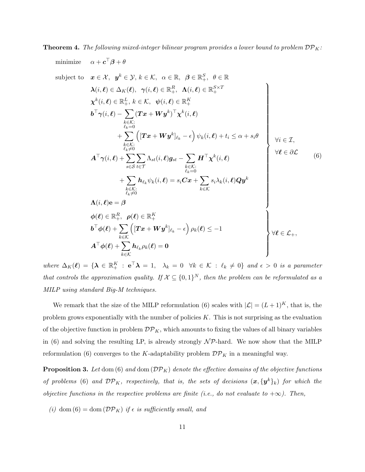**Theorem 4.** The following mixed-integer bilinear program provides a lower bound to problem  $\mathcal{DP}_K$ :

minimize 
$$
\alpha + c^{\top}\beta + \theta
$$
  
\nsubject to  $\mathbf{x} \in \mathcal{X}, \mathbf{y}^{k} \in \mathcal{Y}, k \in \mathcal{K}, \alpha \in \mathbb{R}, \beta \in \mathbb{R}_{+}^{S}, \theta \in \mathbb{R}$   
\n $\lambda(i,\ell) \in \Delta_{K}(\ell), \gamma(i,\ell) \in \mathbb{R}_{+}^{R}, \mathbf{\Lambda}(i,\ell) \in \mathbb{R}_{+}^{S \times T}$   
\n $\chi^{k}(i,\ell) \in \mathbb{R}_{+}^{L}, k \in \mathcal{K}, \psi(i,\ell) \in \mathbb{R}_{+}^{K}$   
\n $b^{\top}\gamma(i,\ell) - \sum_{\substack{k \in \mathcal{K}:\\k \in \mathcal{K}}} (\mathbf{T}\mathbf{x} + \mathbf{W}\mathbf{y}^{k})^{\top}\mathbf{\chi}^{k}(i,\ell)$   
\n $+ \sum_{\substack{k \in \mathcal{K}:\\k \neq 0}}^{k \in \mathcal{K}} (\mathbf{T}\mathbf{x} + \mathbf{W}\mathbf{y}^{k})_{\ell_{k}} - \epsilon) \psi_{k}(i,\ell) + t_{i} \leq \alpha + s_{i}\theta$   
\n $\mathbf{A}^{\top}\gamma(i,\ell) + \sum_{s \in S} \sum_{t \in \mathcal{T}} \Lambda_{st}(i,\ell) g_{st} - \sum_{\substack{k \in \mathcal{K}:\\k \in \mathcal{K}}} \mathbf{H}^{\top}\chi^{k}(i,\ell)$   
\n $+ \sum_{\substack{k \in \mathcal{K}:\\k \neq 0}}^{k \in \mathcal{K}} h_{\ell_{k}} \psi_{k}(i,\ell) = s_{i}C\mathbf{x} + \sum_{k \in \mathcal{K}} s_{i}\lambda_{k}(i,\ell)Q\mathbf{y}^{k}$   
\n $\Lambda(i,\ell) \mathbf{e} = \beta$   
\n $\phi(\ell) \in \mathbb{R}_{+}^{R}, \ \rho(\ell) \in \mathbb{R}_{+}^{K}$   
\n $\mathbf{b}^{\top}\phi(\ell) + \sum_{k \in \mathcal{K}} (\mathbf{T}\mathbf{x} + \mathbf{W}\mathbf{y}^{k}|_{\ell_{k}} - \epsilon) \rho_{k}(\ell) \leq -1$   
\n

where  $\Delta_K(\ell) = {\{\mathbf{\lambda} \in \mathbb{R}_+^K : \mathbf{e}^\top \mathbf{\lambda} = 1, \lambda_k = 0 \quad \forall k \in \mathcal{K} : \ell_k \neq 0\}}$  and  $\epsilon > 0$  is a parameter that controls the approximation quality. If  $X \subseteq \{0,1\}^N$ , then the problem can be reformulated as a MILP using standard Big-M techniques.

We remark that the size of the MILP reformulation (6) scales with  $|\mathcal{L}| = (L+1)^K$ , that is, the problem grows exponentially with the number of policies  $K$ . This is not surprising as the evaluation of the objective function in problem  $\mathcal{DP}_K$ , which amounts to fixing the values of all binary variables in (6) and solving the resulting LP, is already strongly  $\mathcal{NP}$ -hard. We now show that the MILP reformulation (6) converges to the K-adaptability problem  $\mathcal{DP}_K$  in a meaningful way.

**Proposition 3.** Let dom (6) and dom  $(\mathcal{DP}_K)$  denote the effective domains of the objective functions of problems (6) and  $\mathcal{DP}_K$ , respectively, that is, the sets of decisions  $(\mathbf{x}, {\{\mathbf{y}^k\}}_k)$  for which the objective functions in the respective problems are finite (i.e., do not evaluate to  $+\infty$ ). Then,

(i) dom  $(6) = \text{dom}(\mathcal{DP}_K)$  if  $\epsilon$  is sufficiently small, and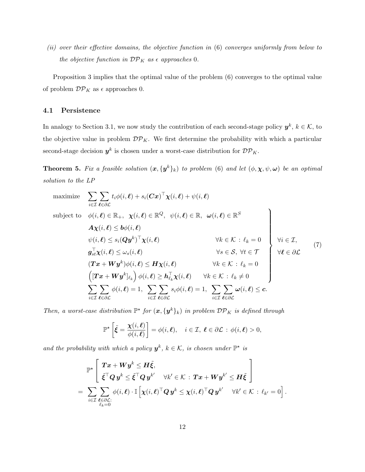(ii) over their effective domains, the objective function in (6) converges uniformly from below to the objective function in  $\mathcal{DP}_K$  as  $\epsilon$  approaches 0.

Proposition 3 implies that the optimal value of the problem (6) converges to the optimal value of problem  $\mathcal{DP}_K$  as  $\epsilon$  approaches 0.

#### 4.1 Persistence

In analogy to Section 3.1, we now study the contribution of each second-stage policy  $y^k, k \in \mathcal{K}$ , to the objective value in problem  $\mathcal{DP}_K$ . We first determine the probability with which a particular second-stage decision  $y^k$  is chosen under a worst-case distribution for  ${\cal DP}_K$ .

**Theorem 5.** Fix a feasible solution  $(x, \{y^k\}_k)$  to problem (6) and let  $(\phi, \chi, \psi, \omega)$  be an optimal solution to the LP

maximize 
$$
\sum_{i \in \mathcal{I}} \sum_{\ell \in \partial \mathcal{L}} t_i \phi(i, \ell) + s_i (\mathbf{C} \mathbf{x})^\top \chi(i, \ell) + \psi(i, \ell)
$$
  
\nsubject to 
$$
\phi(i, \ell) \in \mathbb{R}_+, \chi(i, \ell) \in \mathbb{R}^Q, \quad \psi(i, \ell) \in \mathbb{R}, \quad \omega(i, \ell) \in \mathbb{R}^S
$$
  
\n
$$
A \chi(i, \ell) \leq b \phi(i, \ell)
$$
  
\n
$$
\psi(i, \ell) \leq s_i (\mathbf{Q} \mathbf{y}^k)^\top \chi(i, \ell) \qquad \forall k \in \mathcal{K} : \ell_k = 0
$$
  
\n
$$
\mathbf{g}_{st}^\top \chi(i, \ell) \leq \omega_s(i, \ell) \qquad \forall s \in \mathcal{S}, \forall t \in \mathcal{T}
$$
  
\n
$$
(\mathbf{T} \mathbf{x} + \mathbf{W} \mathbf{y}^k) \phi(i, \ell) \leq \mathbf{H} \chi(i, \ell) \qquad \forall k \in \mathcal{K} : \ell_k = 0
$$
  
\n
$$
(\mathbf{T} \mathbf{x} + \mathbf{W} \mathbf{y}^k) \phi(i, \ell) \geq \mathbf{h}_{\ell_k}^\top \chi(i, \ell) \qquad \forall k \in \mathcal{K} : \ell_k \neq 0
$$
  
\n
$$
\sum_{i \in \mathcal{I}} \sum_{\ell \in \partial \mathcal{L}} \phi(i, \ell) = 1, \sum_{i \in \mathcal{I}} \sum_{\ell \in \partial \mathcal{L}} s_i \phi(i, \ell) = 1, \sum_{i \in \mathcal{I}} \sum_{\ell \in \partial \mathcal{L}} \omega(i, \ell) \leq c.
$$
  
\n(7)

Then, a worst-case distribution  $\mathbb{P}^{\star}$  for  $(\mathbf{x}, {\{\mathbf{y}^k\}}_k)$  in problem  $\mathcal{DP}_K$  is defined through

$$
\mathbb{P}^{\star}\left[\tilde{\xi}=\frac{\boldsymbol{\chi}(i,\boldsymbol{\ell})}{\phi(i,\boldsymbol{\ell})}\right]=\phi(i,\boldsymbol{\ell}),\quad i\in\mathcal{I},\ \boldsymbol{\ell}\in\partial\mathcal{L}:\ \phi(i,\boldsymbol{\ell})>0,
$$

and the probability with which a policy  $y^k$ ,  $k \in \mathcal{K}$ , is chosen under  $\mathbb{P}^*$  is

$$
\mathbb{P}^\star\left[\begin{array}{l}\bm{T}\bm{x}+\bm{W}\bm{y}^k\leq\bm{H}\tilde{\bm{\xi}},\\\tilde{\bm{\xi}}^\top\bm{Q}\,\bm{y}^k\leq\tilde{\bm{\xi}}^\top\bm{Q}\,\bm{y}^{k'}\quad\forall k'\in\mathcal{K}\,:\,\bm{T}\bm{x}+\bm{W}\bm{y}^{k'}\leq\bm{H}\tilde{\bm{\xi}}\\\end{array}\right]\\=\sum_{i\in\mathcal{I}}\sum_{\substack{\bm{\ell}\in\partial\mathcal{L}:\\\ell_k=0}}\phi(i,\bm{\ell})\cdot\mathbb{I}\left[\bm{\chi}(i,\bm{\ell})^\top\bm{Q}\,\bm{y}^k\leq\bm{\chi}(i,\bm{\ell})^\top\bm{Q}\,\bm{y}^{k'}\quad\forall k'\in\mathcal{K}\,:\,\ell_{k'}=0\right].
$$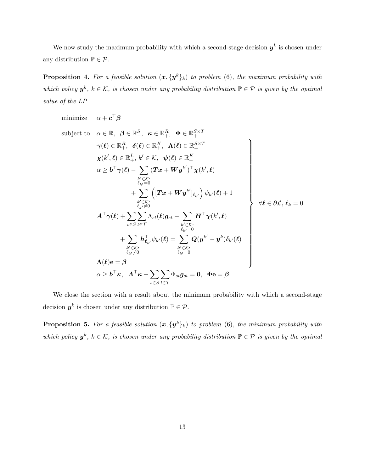We now study the maximum probability with which a second-stage decision  $y^k$  is chosen under any distribution  $\mathbb{P} \in \mathcal{P}$ .

**Proposition 4.** For a feasible solution  $(x, \{y^k\}_k)$  to problem (6), the maximum probability with which policy  $y^k$ ,  $k \in \mathcal{K}$ , is chosen under any probability distribution  $\mathbb{P} \in \mathcal{P}$  is given by the optimal value of the LP

minimize 
$$
\alpha + c^{\top}\beta
$$
  
\nsubject to  $\alpha \in \mathbb{R}, \ \beta \in \mathbb{R}_{+}^{S}, \ \kappa \in \mathbb{R}_{+}^{R}, \ \Phi \in \mathbb{R}_{+}^{S\times T}$   
\n $\gamma(\ell) \in \mathbb{R}_{+}^{R}, \ \delta(\ell) \in \mathbb{R}_{+}^{K}, \ \Lambda(\ell) \in \mathbb{R}_{+}^{S\times T}$   
\n $\chi(k',\ell) \in \mathbb{R}_{+}^{L}, k' \in \mathcal{K}, \ \psi(\ell) \in \mathbb{R}_{+}^{K}$   
\n $\alpha \geq b^{\top}\gamma(\ell) - \sum_{\substack{k' \in \mathcal{K}: \\ \ell_{k'}=0}} (Tx + Wy^{k'})^{\top}\chi(k',\ell)$   
\n $+ \sum_{\substack{k' \in \mathcal{K}: \\ \ell_{k'} \neq 0}} [(Tx + Wy^{k'}]_{\ell_{k'}}) \psi_{k'}(\ell) + 1$   
\n $\mathcal{A}^{\top}\gamma(\ell) + \sum_{s \in S} \sum_{t \in \mathcal{T}} \Lambda_{st}(\ell)g_{st} - \sum_{\substack{k' \in \mathcal{K}: \\ \ell_{k'}=0}} H^{\top}\chi(k',\ell)$   
\n $+ \sum_{\substack{k' \in \mathcal{K}: \\ \ell_{k'} \neq 0}} h^{\top}_{\ell_{k'}}\psi_{k'}(\ell) = \sum_{\substack{k' \in \mathcal{K}: \\ \ell_{k'}=0}} Q(y^{k'} - y^{k})\delta_{k'}(\ell)$   
\n $\Lambda(\ell) e = \beta$   
\n $\alpha \geq b^{\top}\kappa, \ \mathcal{A}^{\top}\kappa + \sum_{s \in S} \sum_{t \in \mathcal{T}} \Phi_{st}g_{st} = 0, \ \Phi e = \beta.$ 

We close the section with a result about the minimum probability with which a second-stage decision  $y^k$  is chosen under any distribution  $\mathbb{P} \in \mathcal{P}$ .

**Proposition 5.** For a feasible solution  $(x, \{y^k\}_k)$  to problem (6), the minimum probability with which policy  $y^k$ ,  $k \in \mathcal{K}$ , is chosen under any probability distribution  $\mathbb{P} \in \mathcal{P}$  is given by the optimal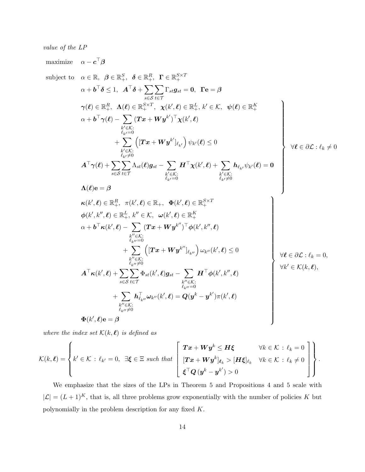value of the LP

maximize  $\alpha - \boldsymbol{c}^\top \boldsymbol{\beta}$ subject to  $\alpha \in \mathbb{R}$ ,  $\beta \in \mathbb{R}^S_+$ ,  $\delta \in \mathbb{R}^R_+$ ,  $\Gamma \in \mathbb{R}^{S \times T}_+$  $\alpha + \boldsymbol{b}^\top \boldsymbol{\delta} \leq 1, \enspace \boldsymbol{A}^\top \boldsymbol{\delta} + \sum \limits_{i=1}^n \boldsymbol{b}_i$ s∈S  $\sum$ t∈T  $\Gamma_{st}g_{st}=0, \ \ \Gamma\mathrm{e}=\beta$  $\boldsymbol{\gamma}(\boldsymbol{\ell}) \in \mathbb{R}_{+}^{R}, \;\; \boldsymbol{\Lambda}(\boldsymbol{\ell}) \in \mathbb{R}_{+}^{S \times T}, \;\; \boldsymbol{\chi}(k',\boldsymbol{\ell}) \in \mathbb{R}_{+}^{L},\, k' \in \mathcal{K}, \;\; \boldsymbol{\psi}(\boldsymbol{\ell}) \in \mathbb{R}_{+}^{K}$  $\alpha + \boldsymbol{b}^\top \boldsymbol{\gamma}(\boldsymbol{\ell}) - |\sum_{\boldsymbol{\ell}}% \boldsymbol{\ell}|^2 \boldsymbol{\gamma}(\boldsymbol{\ell})$  $k' \in \mathcal{K}$ :  $\ell_{k}$ <sub>c</sub>=0  $(\boldsymbol{T}\boldsymbol{x} + \boldsymbol{W}\boldsymbol{y}^{k'})^\top \boldsymbol{\chi}(k', \boldsymbol{\ell})$  $+$   $\Sigma$  $k' \in \mathcal{K}$ :  $\ell_{k}$  $\neq$ 0  $\left( [\boldsymbol{T} \boldsymbol{x} + \boldsymbol{W} \boldsymbol{y}^{k'}]_{\ell_{k'}} \right) \psi_{k'}(\boldsymbol{\ell}) \leq 0$  $A^\top \gamma(\ell) + \sum$ s∈S  $\sum$ t∈T  $\Lambda_{st}(\boldsymbol\ell) \boldsymbol g_{st} - \ \sum \limits_{\,\,\nu\in\mathbb{Z}\,}\,$  $k' \in \mathcal{K}$ :  $\ell_{k}$ <sub>c</sub> $=0$  $\boldsymbol{H}^{\top} \boldsymbol{\chi}(k',\boldsymbol{\ell}) + \left. \boldsymbol{\sum} \right.$  $k' \in \mathcal{K}$ :  $\ell_{k}$  $\neq$ 0  $\bm{h}_{\ell_{k'}}\psi_{k'}(\bm{\ell})=\bm{0}$  $\Lambda(\ell)$ e = β  $\mathcal{L}$   $\begin{array}{c} \begin{array}{c} \begin{array}{c} \end{array} \\ \end{array} \end{array}$  $\forall \ell \in \partial \mathcal{L} : \ell_k \neq 0$  $\boldsymbol{\kappa}(k',\boldsymbol{\ell})\in \mathbb{R}_+^R, \ \ \pi(k',\boldsymbol{\ell})\in \mathbb{R}_+,\ \ \boldsymbol{\Phi}(k',\boldsymbol{\ell})\in \mathbb{R}_+^{S\times T}$  $\boldsymbol{\phi}(k',k'',\boldsymbol{\ell}) \in \mathbb{R}_{+}^{L},\, k'' \in \mathcal{K},\,\,\,\boldsymbol{\omega}(k',\boldsymbol{\ell}) \in \mathbb{R}_{+}^{K}$  $\mathcal{C}',k'',\boldsymbol{\ell})\in\mathbb{R}^L_+,\,k''\in\mathcal{K},\,\,\,\,\boldsymbol{\omega}(k',\boldsymbol{\ell})\in\mathbb{R}^K_+$  $\alpha + \boldsymbol{b}^{\top}\boldsymbol{\kappa}(k',\boldsymbol{\ell}) - |\sum_{\boldsymbol{\kappa},\boldsymbol{\ell}}% \boldsymbol{b}^{\top}\boldsymbol{\kappa}'(\boldsymbol{\kappa}')|$  $k^{\prime\prime}$  $\in$ K:  $\ell_{k}$ <sub>o</sub> $=0$  $(\boldsymbol{T}\boldsymbol{x}+\boldsymbol{W}\boldsymbol{y}^{k^{\prime\prime}})^{\top}\boldsymbol{\phi}(k^{\prime},k^{\prime\prime},\boldsymbol{\ell})$  $+$   $\Sigma$  $k^{\prime\prime}$  $\in$ K:  $\ell_{k}$  $\neq 0$  $\left( \left[ \boldsymbol{T} \boldsymbol{x} + \boldsymbol{W} \boldsymbol{y}^{k^{\prime \prime}} \right]_{\ell_{k^{\prime \prime}}} \right) \omega_{k^{\prime \prime}}(k^{\prime}, \boldsymbol{\ell}) \leq 0$  $\bm{A}^{\top}\bm{\kappa}(k',\bm{\ell})+\sum_{\bm{\ell}}% \bm{\ell}^{\dag}\left(\bm{\ell}\right) +\left(\sum_{\bm{\ell}}% \bm{\ell}^{\dag}\right)\bm{\ell}^{\dag}\left(\bm{\ell}\right) +\left(\sum_{\bm{\ell}}% \bm{\ell}^{\dag}\right)\left(\bm{\ell}\right)$ s∈S  $\sum$ t∈T  $\Phi_{st}(k',\boldsymbol{\ell})\boldsymbol{g}_{st}-\sum_{\boldsymbol{\ell}}% \boldsymbol{g}_{st}(\boldsymbol{\ell})\boldsymbol{\ell}^{\prime\prime}(\boldsymbol{\ell})\boldsymbol{\ell}^{\prime\prime\prime}=2\pi\mathbf{e}(\boldsymbol{\ell})\mathbf{e}(\boldsymbol{\ell})\mathbf{e}(\boldsymbol{\ell})\mathbf{e}(\boldsymbol{\ell})\mathbf{e}(\boldsymbol{\ell})\mathbf{e}(\boldsymbol{\ell})\mathbf{e}(\boldsymbol{\ell})\mathbf{e}(\boldsymbol{\ell})$  $k^{\prime\prime}$  $\in$ K:  $\ell_{k}$ <sub>o</sub> $=0$  $\boldsymbol{H}^{\top}\boldsymbol{\phi}(k',k'',\boldsymbol{\ell})$  $+$   $\Sigma$  $k^{\prime\prime}$  $\in$ K:  $\ell_{k}$ <sub>0</sub> $\neq$ 0  $\bm{h}_{\ell_{k^{\prime\prime}}}^\top \bm{\omega}_{k^{\prime\prime}}(k^\prime,\bm{\ell}) = \bm{Q}(\bm{y}^k-\bm{y}^{k^\prime})\pi(k^\prime,\bm{\ell})$  $\top$  (event)  $\ell$  =  $\Omega(a^k - a^{k'}) \pi(k')$  $\mathbf{\Phi}(k',\boldsymbol{\ell})\mathbf{e} = \boldsymbol{\beta}$  $\mathcal{L}$   $\forall \ell \in \partial \mathcal{L} : \ell_k = 0,$  $\forall k' \in \mathcal{K}(k,\boldsymbol{\ell}),$ 

where the index set  $\mathcal{K}(k, \ell)$  is defined as

$$
\mathcal{K}(k,\boldsymbol{\ell}) = \left\{ k' \in \mathcal{K} : \ell_{k'} = 0, \exists \boldsymbol{\xi} \in \Xi \text{ such that } \left[ \begin{array}{cc} \boldsymbol{T} \boldsymbol{x} + \boldsymbol{W} \boldsymbol{y}^k \leq \boldsymbol{H} \boldsymbol{\xi} & \forall k \in \mathcal{K} : \ell_k = 0 \\ \left[ \boldsymbol{T} \boldsymbol{x} + \boldsymbol{W} \boldsymbol{y}^k \right]_{\ell_k} & \forall k \in \mathcal{K} : \ell_k \neq 0 \\ \boldsymbol{\xi}^\top \boldsymbol{Q} \left( \boldsymbol{y}^k - \boldsymbol{y}^{k'} \right) > 0 \end{array} \right] \right\}.
$$

We emphasize that the sizes of the LPs in Theorem 5 and Propositions 4 and 5 scale with  $|\mathcal{L}| = (L+1)^K$ , that is, all three problems grow exponentially with the number of policies K but polynomially in the problem description for any fixed K.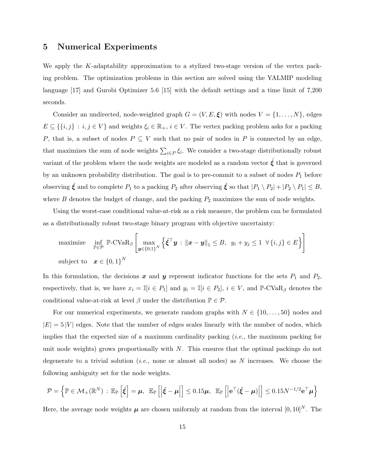#### 5 Numerical Experiments

We apply the K-adaptability approximation to a stylized two-stage version of the vertex packing problem. The optimization problems in this section are solved using the YALMIP modeling language [17] and Gurobi Optimizer 5.6 [15] with the default settings and a time limit of 7,200 seconds.

Consider an undirected, node-weighted graph  $G = (V, E, \xi)$  with nodes  $V = \{1, \ldots, N\}$ , edges  $E \subseteq \{\{i, j\} : i, j \in V\}$  and weights  $\xi_i \in \mathbb{R}_+, i \in V$ . The vertex packing problem asks for a packing P, that is, a subset of nodes  $P \subseteq V$  such that no pair of nodes in P is connected by an edge, that maximizes the sum of node weights  $\sum_{i\in P}\xi_i$ . We consider a two-stage distributionally robust variant of the problem where the node weights are modeled as a random vector  $\tilde{\xi}$  that is governed by an unknown probability distribution. The goal is to pre-commit to a subset of nodes  $P_1$  before observing  $\tilde{\xi}$  and to complete  $P_1$  to a packing  $P_2$  after observing  $\tilde{\xi}$  so that  $|P_1 \setminus P_2| + |P_2 \setminus P_1| \leq B$ , where  $B$  denotes the budget of change, and the packing  $P_2$  maximizes the sum of node weights.

Using the worst-case conditional value-at-risk as a risk measure, the problem can be formulated as a distributionally robust two-stage binary program with objective uncertainty:

maximize 
$$
\inf_{\mathbb{P}\in\mathcal{P}} \mathbb{P}\text{-CVaR}_{\beta} \left[\max_{\boldsymbol{y}\in\{0,1\}^N} \left\{ \tilde{\boldsymbol{\xi}}^{\top}\boldsymbol{y} : \|\boldsymbol{x}-\boldsymbol{y}\|_1 \leq B, \ y_i+y_j \leq 1 \ \forall \{i,j\}\in E \right\} \right]
$$
  
subject to  $\boldsymbol{x} \in \{0,1\}^N$ 

In this formulation, the decisions  $x$  and  $y$  represent indicator functions for the sets  $P_1$  and  $P_2$ , respectively, that is, we have  $x_i = \mathbb{I}[i \in P_1]$  and  $y_i = \mathbb{I}[i \in P_2]$ ,  $i \in V$ , and  $\mathbb{P}\text{-CVaR}_{\beta}$  denotes the conditional value-at-risk at level  $\beta$  under the distribution  $\mathbb{P} \in \mathcal{P}$ .

For our numerical experiments, we generate random graphs with  $N \in \{10, \ldots, 50\}$  nodes and  $|E| = 5 |V|$  edges. Note that the number of edges scales linearly with the number of nodes, which implies that the expected size of a maximum cardinality packing  $(i.e.,$  the maximum packing for unit node weights) grows proportionally with  $N$ . This ensures that the optimal packings do not degenerate to a trivial solution (*i.e.*, none or almost all nodes) as  $N$  increases. We choose the following ambiguity set for the node weights.

$$
\mathcal{P} = \left\{ \mathbb{P} \in \mathcal{M}_+(\mathbb{R}^N) \, : \, \mathbb{E}_{\mathbb{P}}\left[\tilde{\xi}\right] = \mu, \, \mathbb{E}_{\mathbb{P}}\left[\left|\tilde{\xi} - \mu\right|\right] \leq 0.15\mu, \, \mathbb{E}_{\mathbb{P}}\left[\left|\mathbf{e}^\top(\tilde{\xi} - \mu)\right|\right] \leq 0.15N^{-1/2}\mathbf{e}^\top\mu \right\}
$$

Here, the average node weights  $\mu$  are chosen uniformly at random from the interval  $[0, 10]^N$ . The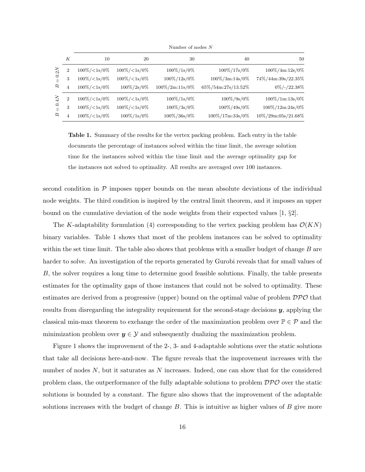|               | К              | 10                                        | 20                 | 30                 | 40                 | 50                 |  |  |
|---------------|----------------|-------------------------------------------|--------------------|--------------------|--------------------|--------------------|--|--|
| 0.2N          | 2              | $100\% / \langle 1 \text{s}/0 \rangle$    | $100\% / < 1s/0\%$ | $100\%/1s/0\%$     | 100%/17s/0%        | $100\%/4m:12s/0\%$ |  |  |
|               | 3              | $100\% / < 1s/0\%$                        | $100\% / < 1s/0\%$ | 100%/12s/0%        | 100%/3m:14s/0%     | 74%/44m:39s/22.35% |  |  |
| $\mathcal{B}$ | 4              | $100\% / < 1s/0\%$                        | $100\%/2s/0\%$     | $100\%/2m:11s/0\%$ | 65%/54m:27s/13.52% | $0\%/$ -/22.38%    |  |  |
| $0.4N$        | $\overline{2}$ | $100\% / \langle 1 \text{s}/0 \% \rangle$ | $100\% / < 1s/0\%$ | $100\%/1s/0\%$     | $100\%/9s/0\%$     | 100%/1m:13s/0%     |  |  |
|               | 3              | $100\% / < 1s/0\%$                        | $100\% / < 1s/0\%$ | $100\%/3s/0\%$     | 100%/49s/0%        | 100%/12m:24s/0%    |  |  |
| Б             | 4              | $100\% / < 1s/0\%$                        | $100\%/1s/0\%$     | 100%/36s/0%        | 100%/17m:33s/0%    | 10%/29m:05s/21.68% |  |  |
|               |                |                                           |                    |                    |                    |                    |  |  |

Number of nodes N

Table 1. Summary of the results for the vertex packing problem. Each entry in the table documents the percentage of instances solved within the time limit, the average solution time for the instances solved within the time limit and the average optimality gap for the instances not solved to optimality. All results are averaged over 100 instances.

second condition in  $\mathcal P$  imposes upper bounds on the mean absolute deviations of the individual node weights. The third condition is inspired by the central limit theorem, and it imposes an upper bound on the cumulative deviation of the node weights from their expected values  $[1, \S2]$ .

The K-adaptability formulation (4) corresponding to the vertex packing problem has  $\mathcal{O}(KN)$ binary variables. Table 1 shows that most of the problem instances can be solved to optimality within the set time limit. The table also shows that problems with a smaller budget of change  $B$  are harder to solve. An investigation of the reports generated by Gurobi reveals that for small values of B, the solver requires a long time to determine good feasible solutions. Finally, the table presents estimates for the optimality gaps of those instances that could not be solved to optimality. These estimates are derived from a progressive (upper) bound on the optimal value of problem  $\mathcal{DPO}$  that results from disregarding the integrality requirement for the second-stage decisions  $y$ , applying the classical min-max theorem to exchange the order of the maximization problem over  $\mathbb{P} \in \mathcal{P}$  and the minimization problem over  $y \in \mathcal{Y}$  and subsequently dualizing the maximization problem.

Figure 1 shows the improvement of the 2-, 3- and 4-adaptable solutions over the static solutions that take all decisions here-and-now. The figure reveals that the improvement increases with the number of nodes  $N$ , but it saturates as  $N$  increases. Indeed, one can show that for the considered problem class, the outperformance of the fully adaptable solutions to problem  $\mathcal{DPO}$  over the static solutions is bounded by a constant. The figure also shows that the improvement of the adaptable solutions increases with the budget of change  $B$ . This is intuitive as higher values of  $B$  give more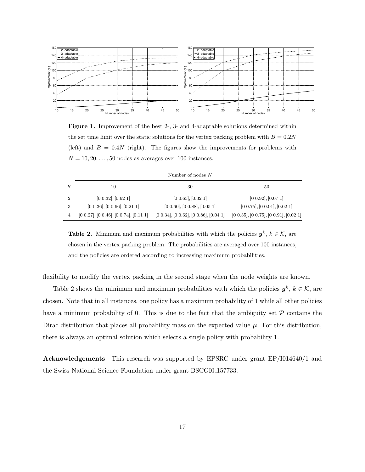

Figure 1. Improvement of the best 2-, 3- and 4-adaptable solutions determined within the set time limit over the static solutions for the vertex packing problem with  $B = 0.2N$ (left) and  $B = 0.4N$  (right). The figures show the improvements for problems with  $N = 10, 20, \ldots, 50$  nodes as averages over 100 instances.

| Number of nodes N |  |  |  |
|-------------------|--|--|--|
|-------------------|--|--|--|

|   | 10                                           | 30                                           | 50                                           |
|---|----------------------------------------------|----------------------------------------------|----------------------------------------------|
|   | $[0\ 0.32], [0.62\ 1]$                       | [0 0.65], [0.32 1]                           | [0 0.92], [0.07 1]                           |
| 3 | $[0\ 0.36], [0\ 0.66], [0.21\ 1]$            | $[0\ 0.60], [0\ 0.88], [0.05\ 1]$            | $[0\ 0.75], [0\ 0.91], [0.02\ 1]$            |
|   | $[0\ 0.27], [0\ 0.46], [0\ 0.74], [0.11\ 1]$ | $[0\ 0.34], [0\ 0.62], [0\ 0.86], [0.04\ 1]$ | $[0\ 0.35], [0\ 0.75], [0\ 0.91], [0.02\ 1]$ |

**Table 2.** Minimum and maximum probabilities with which the policies  $y^k$ ,  $k \in \mathcal{K}$ , are chosen in the vertex packing problem. The probabilities are averaged over 100 instances, and the policies are ordered according to increasing maximum probabilities.

flexibility to modify the vertex packing in the second stage when the node weights are known.

Table 2 shows the minimum and maximum probabilities with which the policies  $y^k, k \in \mathcal{K}$ , are chosen. Note that in all instances, one policy has a maximum probability of 1 while all other policies have a minimum probability of 0. This is due to the fact that the ambiguity set  $P$  contains the Dirac distribution that places all probability mass on the expected value  $\mu$ . For this distribution, there is always an optimal solution which selects a single policy with probability 1.

Acknowledgements This research was supported by EPSRC under grant EP/I014640/1 and the Swiss National Science Foundation under grant BSCGI0 157733.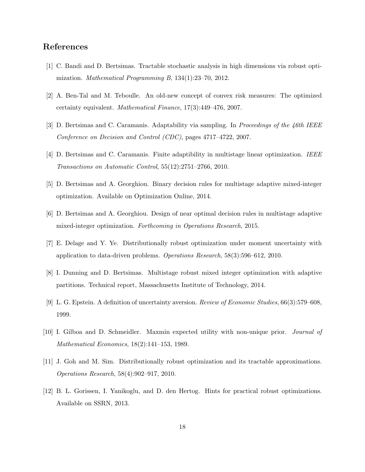## References

- [1] C. Bandi and D. Bertsimas. Tractable stochastic analysis in high dimensions via robust optimization. Mathematical Programming B, 134(1):23–70, 2012.
- [2] A. Ben-Tal and M. Teboulle. An old-new concept of convex risk measures: The optimized certainty equivalent. Mathematical Finance, 17(3):449–476, 2007.
- [3] D. Bertsimas and C. Caramanis. Adaptability via sampling. In Proceedings of the 46th IEEE Conference on Decision and Control (CDC), pages 4717–4722, 2007.
- [4] D. Bertsimas and C. Caramanis. Finite adaptibility in multistage linear optimization. IEEE Transactions on Automatic Control, 55(12):2751–2766, 2010.
- [5] D. Bertsimas and A. Georghiou. Binary decision rules for multistage adaptive mixed-integer optimization. Available on Optimization Online, 2014.
- [6] D. Bertsimas and A. Georghiou. Design of near optimal decision rules in multistage adaptive mixed-integer optimization. Forthcoming in Operations Research, 2015.
- [7] E. Delage and Y. Ye. Distributionally robust optimization under moment uncertainty with application to data-driven problems. Operations Research, 58(3):596–612, 2010.
- [8] I. Dunning and D. Bertsimas. Multistage robust mixed integer optimization with adaptive partitions. Technical report, Massachusetts Institute of Technology, 2014.
- [9] L. G. Epstein. A definition of uncertainty aversion. Review of Economic Studies, 66(3):579–608, 1999.
- [10] I. Gilboa and D. Schmeidler. Maxmin expected utility with non-unique prior. Journal of Mathematical Economics, 18(2):141–153, 1989.
- [11] J. Goh and M. Sim. Distributionally robust optimization and its tractable approximations. Operations Research, 58(4):902–917, 2010.
- [12] B. L. Gorissen, I. Yanikoglu, and D. den Hertog. Hints for practical robust optimizations. Available on SSRN, 2013.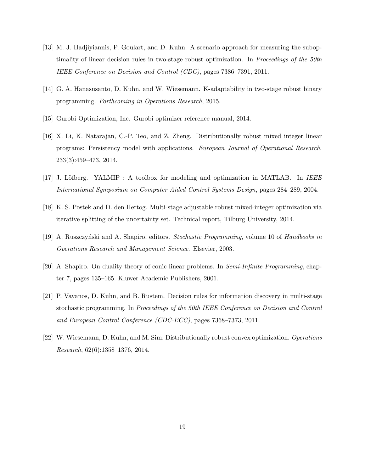- [13] M. J. Hadjiyiannis, P. Goulart, and D. Kuhn. A scenario approach for measuring the suboptimality of linear decision rules in two-stage robust optimization. In Proceedings of the 50th IEEE Conference on Decision and Control (CDC), pages 7386–7391, 2011.
- [14] G. A. Hanasusanto, D. Kuhn, and W. Wiesemann. K-adaptability in two-stage robust binary programming. Forthcoming in Operations Research, 2015.
- [15] Gurobi Optimization, Inc. Gurobi optimizer reference manual, 2014.
- [16] X. Li, K. Natarajan, C.-P. Teo, and Z. Zheng. Distributionally robust mixed integer linear programs: Persistency model with applications. European Journal of Operational Research, 233(3):459–473, 2014.
- [17] J. Löfberg. YALMIP : A toolbox for modeling and optimization in MATLAB. In IEEE International Symposium on Computer Aided Control Systems Design, pages 284–289, 2004.
- [18] K. S. Postek and D. den Hertog. Multi-stage adjustable robust mixed-integer optimization via iterative splitting of the uncertainty set. Technical report, Tilburg University, 2014.
- [19] A. Ruszczyński and A. Shapiro, editors. *Stochastic Programming*, volume 10 of *Handbooks in* Operations Research and Management Science. Elsevier, 2003.
- [20] A. Shapiro. On duality theory of conic linear problems. In Semi-Infinite Programming, chapter 7, pages 135–165. Kluwer Academic Publishers, 2001.
- [21] P. Vayanos, D. Kuhn, and B. Rustem. Decision rules for information discovery in multi-stage stochastic programming. In Proceedings of the 50th IEEE Conference on Decision and Control and European Control Conference (CDC-ECC), pages 7368–7373, 2011.
- [22] W. Wiesemann, D. Kuhn, and M. Sim. Distributionally robust convex optimization. Operations Research, 62(6):1358–1376, 2014.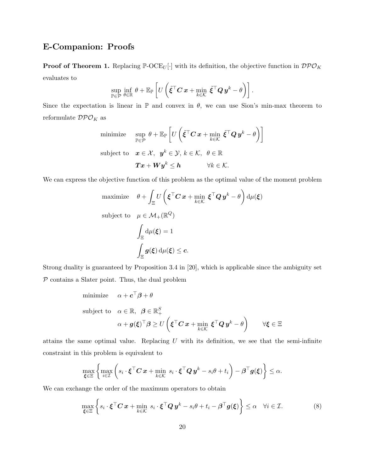# E-Companion: Proofs

**Proof of Theorem 1.** Replacing  $\mathbb{P}\text{-}OCE_U[\cdot]$  with its definition, the objective function in  $\mathcal{DPO}_K$ evaluates to

$$
\sup_{\mathbb{P}\in\mathcal{P}}\inf_{\theta\in\mathbb{R}}\theta+\mathbb{E}_{\mathbb{P}}\left[U\left(\tilde{\xi}^{\top}\mathbf{C}\,\boldsymbol{x}+\min_{k\in\mathcal{K}}\,\tilde{\xi}^{\top}\mathbf{Q}\,\boldsymbol{y}^{k}-\theta\right)\right].
$$

Since the expectation is linear in  $\mathbb P$  and convex in  $\theta$ , we can use Sion's min-max theorem to reformulate  $\mathcal{DPO}_K$  as

$$
\begin{aligned} & \text{minimize} && \text{sup} \;\; \theta + \mathbb{E}_{\mathbb{P}}\left[U\left(\tilde{\boldsymbol{\xi}}^\top \boldsymbol{C}\, \boldsymbol{x} + \min_{k \in \mathcal{K}} \; \tilde{\boldsymbol{\xi}}^\top \boldsymbol{Q}\, \boldsymbol{y}^k - \theta\right)\right] \\ & \text{subject to} && \boldsymbol{x} \in \mathcal{X}, \;\; \boldsymbol{y}^k \in \mathcal{Y}, \; k \in \mathcal{K}, \;\; \theta \in \mathbb{R} \\ && && \boldsymbol{T}\boldsymbol{x} + \boldsymbol{W}\boldsymbol{y}^k \leq \boldsymbol{h} \qquad \quad \forall k \in \mathcal{K}. \end{aligned}
$$

We can express the objective function of this problem as the optimal value of the moment problem

maximize 
$$
\theta + \int_{\Xi} U\left(\boldsymbol{\xi}^{\top} \boldsymbol{C} \boldsymbol{x} + \min_{k \in \mathcal{K}} \boldsymbol{\xi}^{\top} \boldsymbol{Q} \boldsymbol{y}^{k} - \theta\right) d\mu(\boldsymbol{\xi})
$$
  
\nsubject to  $\mu \in \mathcal{M}_{+}(\mathbb{R}^{Q})$   
\n
$$
\int_{\Xi} d\mu(\boldsymbol{\xi}) = 1
$$
\n
$$
\int_{\Xi} \boldsymbol{g}(\boldsymbol{\xi}) d\mu(\boldsymbol{\xi}) \leq \boldsymbol{c}.
$$

Strong duality is guaranteed by Proposition 3.4 in [20], which is applicable since the ambiguity set  $P$  contains a Slater point. Thus, the dual problem

minimize 
$$
\alpha + \mathbf{c}^\top \boldsymbol{\beta} + \theta
$$
  
\nsubject to  $\alpha \in \mathbb{R}, \ \boldsymbol{\beta} \in \mathbb{R}_+^S$   
\n $\alpha + g(\boldsymbol{\xi})^\top \boldsymbol{\beta} \ge U\left(\boldsymbol{\xi}^\top \mathbf{C} \mathbf{x} + \min_{k \in \mathcal{K}} \boldsymbol{\xi}^\top \mathbf{Q} \mathbf{y}^k - \theta\right) \qquad \forall \boldsymbol{\xi} \in \Xi$ 

attains the same optimal value. Replacing  $U$  with its definition, we see that the semi-infinite constraint in this problem is equivalent to

$$
\max_{\boldsymbol{\xi}\in\Xi}\left\{\max_{i\in\mathcal{I}}\left(s_i\cdot\boldsymbol{\xi}^\top\boldsymbol{C}\,\boldsymbol{x}+\min_{k\in\mathcal{K}}\;s_i\cdot\boldsymbol{\xi}^\top\boldsymbol{Q}\,\boldsymbol{y}^k-s_i\theta+t_i\right)-\boldsymbol{\beta}^\top\boldsymbol{g}(\boldsymbol{\xi})\right\}\leq\alpha.
$$

We can exchange the order of the maximum operators to obtain

$$
\max_{\boldsymbol{\xi}\in\Xi}\left\{s_i\cdot\boldsymbol{\xi}^\top\boldsymbol{C}\,\boldsymbol{x}+\min_{k\in\mathcal{K}}\,s_i\cdot\boldsymbol{\xi}^\top\boldsymbol{Q}\,\boldsymbol{y}^k-s_i\theta+t_i-\boldsymbol{\beta}^\top\boldsymbol{g}(\boldsymbol{\xi})\right\}\leq\alpha\quad\forall i\in\mathcal{I}.\tag{8}
$$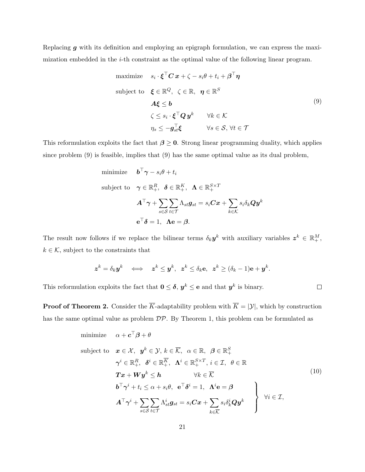Replacing  $g$  with its definition and employing an epigraph formulation, we can express the maximization embedded in the  $i$ -th constraint as the optimal value of the following linear program.

maximize 
$$
s_i \cdot \boldsymbol{\xi}^\top \boldsymbol{C} \boldsymbol{x} + \zeta - s_i \theta + t_i + \boldsymbol{\beta}^\top \boldsymbol{\eta}
$$
  
\nsubject to  $\boldsymbol{\xi} \in \mathbb{R}^Q$ ,  $\zeta \in \mathbb{R}$ ,  $\boldsymbol{\eta} \in \mathbb{R}^S$   
\n $\boldsymbol{A} \boldsymbol{\xi} \leq \boldsymbol{b}$   
\n $\zeta \leq s_i \cdot \boldsymbol{\xi}^\top \boldsymbol{Q} \boldsymbol{y}^k \qquad \forall k \in \mathcal{K}$   
\n $\eta_s \leq -\boldsymbol{g}_{st}^\top \boldsymbol{\xi} \qquad \forall s \in \mathcal{S}, \forall t \in \mathcal{T}$ 

This reformulation exploits the fact that  $\beta \geq 0$ . Strong linear programming duality, which applies since problem (9) is feasible, implies that (9) has the same optimal value as its dual problem,

minimize 
$$
\mathbf{b}^{\top} \boldsymbol{\gamma} - s_i \theta + t_i
$$
  
\nsubject to  $\boldsymbol{\gamma} \in \mathbb{R}_+^R$ ,  $\mathbf{\delta} \in \mathbb{R}_+^K$ ,  $\mathbf{\Lambda} \in \mathbb{R}_+^{S \times T}$   
\n $\mathbf{A}^{\top} \boldsymbol{\gamma} + \sum_{s \in S} \sum_{t \in \mathcal{T}} \Lambda_{st} g_{st} = s_i \mathbf{C} \mathbf{x} + \sum_{k \in \mathcal{K}} s_i \delta_k \mathbf{Q} \mathbf{y}^k$   
\n $\mathbf{e}^{\top} \mathbf{\delta} = 1$ ,  $\mathbf{\Lambda} \mathbf{e} = \boldsymbol{\beta}$ .

The result now follows if we replace the bilinear terms  $\delta_k \mathbf{y}^k$  with auxiliary variables  $\mathbf{z}^k \in \mathbb{R}^M_+$ ,  $k \in \mathcal{K}$ , subject to the constraints that

$$
z^k = \delta_k y^k \iff z^k \leq y^k, \ z^k \leq \delta_k e, \ z^k \geq (\delta_k - 1)e + y^k.
$$

This reformulation exploits the fact that  $0 \leq \delta, y^k \leq e$  and that  $y^k$  is binary.

**Proof of Theorem 2.** Consider the  $\overline{K}$ -adaptability problem with  $\overline{K} = |\mathcal{Y}|$ , which by construction has the same optimal value as problem  $\mathcal{DP}$ . By Theorem 1, this problem can be formulated as

minimize 
$$
\alpha + \mathbf{c}^\top \boldsymbol{\beta} + \theta
$$
  
\nsubject to  $\mathbf{x} \in \mathcal{X}, \ \mathbf{y}^k \in \mathcal{Y}, k \in \overline{\mathcal{K}}, \ \alpha \in \mathbb{R}, \ \beta \in \mathbb{R}_+^S$   
\n $\gamma^i \in \mathbb{R}_+^R, \ \delta^i \in \mathbb{R}_+^{\overline{K}}, \ \Lambda^i \in \mathbb{R}_+^{S \times T}, i \in \mathcal{I}, \ \theta \in \mathbb{R}$   
\n $\mathbf{T} \mathbf{x} + \mathbf{W} \mathbf{y}^k \leq \mathbf{h}$   $\forall k \in \overline{\mathcal{K}}$   
\n $\mathbf{b}^\top \gamma^i + t_i \leq \alpha + s_i \theta, \ \mathbf{e}^\top \delta^i = 1, \ \Lambda^i \mathbf{e} = \boldsymbol{\beta}$   
\n $\mathbf{A}^\top \gamma^i + \sum_{s \in S} \sum_{t \in \mathcal{T}} \Lambda^i_{st} g_{st} = s_i \mathbf{C} \mathbf{x} + \sum_{k \in \overline{\mathcal{K}}} s_i \delta^i_k Q \mathbf{y}^k$   $\forall i \in \mathcal{I},$ 

 $\Box$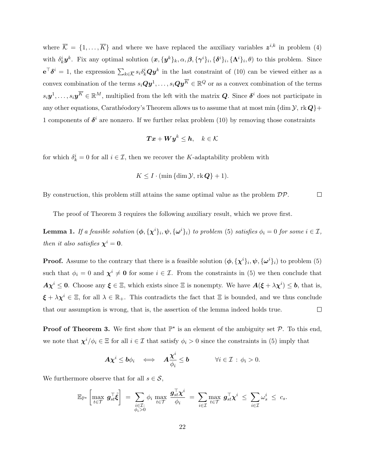where  $\overline{K} = \{1, \ldots, \overline{K}\}\$  and where we have replaced the auxiliary variables  $z^{i,k}$  in problem (4) with  $\delta_k^i \mathbf{y}^k$ . Fix any optimal solution  $(\mathbf{x}, {\{\mathbf{y}^k\}_k}, \alpha, \beta, {\{\gamma^i\}_i}, {\{\delta^i\}_i}, {\{\Lambda^i\}_i}, \theta)$  to this problem. Since  $e^{\top}\delta^i = 1$ , the expression  $\sum_{k \in \overline{\mathcal{K}}} s_i \delta^i_k Q y^k$  in the last constraint of (10) can be viewed either as a convex combination of the terms  $s_i \mathbf{Qy}^1, \ldots, s_i \mathbf{Qy}^{\overline{K}} \in \mathbb{R}^Q$  or as a convex combination of the terms  $s_i \mathbf{y}^1, \ldots, s_i \mathbf{y}^{\overline{K}} \in \mathbb{R}^M$ , multiplied from the left with the matrix  $\mathbf{Q}$ . Since  $\boldsymbol{\delta}^i$  does not participate in any other equations, Carathéodory's Theorem allows us to assume that at most min {dim  $\mathcal{Y}$ , rk  $\mathbf{Q}$ }+ 1 components of  $\delta^i$  are nonzero. If we further relax problem (10) by removing those constraints

$$
\boldsymbol{T}\boldsymbol{x}+\boldsymbol{W}\boldsymbol{y}^k\leq\boldsymbol{h},\quad k\in\mathcal{K}
$$

for which  $\delta_k^i = 0$  for all  $i \in \mathcal{I}$ , then we recover the K-adaptability problem with

$$
K \le I \cdot (\min{\dim \mathcal{Y}, \text{rk } \mathbf{Q}} + 1).
$$

By construction, this problem still attains the same optimal value as the problem  $\mathcal{DP}$ .  $\Box$ 

The proof of Theorem 3 requires the following auxiliary result, which we prove first.

**Lemma 1.** If a feasible solution  $(\phi, {\{\chi^i\}}_i, \psi, {\{\omega^i\}}_i)$  to problem (5) satisfies  $\phi_i = 0$  for some  $i \in \mathcal{I}$ , then it also satisfies  $\chi^i = 0$ .

**Proof.** Assume to the contrary that there is a feasible solution  $(\phi, {\{\chi^i\}}_i, \psi, {\{\omega^i\}}_i)$  to problem (5) such that  $\phi_i = 0$  and  $\chi^i \neq 0$  for some  $i \in \mathcal{I}$ . From the constraints in (5) we then conclude that  $A\chi^{i} \leq 0$ . Choose any  $\xi \in \Xi$ , which exists since  $\Xi$  is nonempty. We have  $A(\xi + \lambda \chi^{i}) \leq b$ , that is,  $\xi + \lambda \chi^i \in \Xi$ , for all  $\lambda \in \mathbb{R}_+$ . This contradicts the fact that  $\Xi$  is bounded, and we thus conclude that our assumption is wrong, that is, the assertion of the lemma indeed holds true.  $\Box$ 

**Proof of Theorem 3.** We first show that  $\mathbb{P}^*$  is an element of the ambiguity set  $\mathcal{P}$ . To this end, we note that  $\chi^{i}/\phi_{i} \in \Xi$  for all  $i \in \mathcal{I}$  that satisfy  $\phi_{i} > 0$  since the constraints in (5) imply that

$$
\mathbf{A} \chi^i \leq \mathbf{b} \phi_i \quad \Longleftrightarrow \quad \mathbf{A} \frac{\chi^i}{\phi_i} \leq \mathbf{b} \qquad \qquad \forall i \in \mathcal{I} \, : \, \phi_i > 0.
$$

We furthermore observe that for all  $s \in \mathcal{S}$ ,

$$
\mathbb{E}_{\mathbb{P}^{\star}}\left[\max_{t \in \mathcal{T}} g_{st}^{\top} \tilde{\xi}\right] = \sum_{\substack{i \in \mathcal{I}: \\ \phi_i > 0}} \phi_i \max_{t \in \mathcal{T}} \frac{g_{st}^{\top} \chi^i}{\phi_i} = \sum_{i \in \mathcal{I}} \max_{t \in \mathcal{T}} g_{st}^{\top} \chi^i \leq \sum_{i \in \mathcal{I}} \omega_s^i \leq c_s.
$$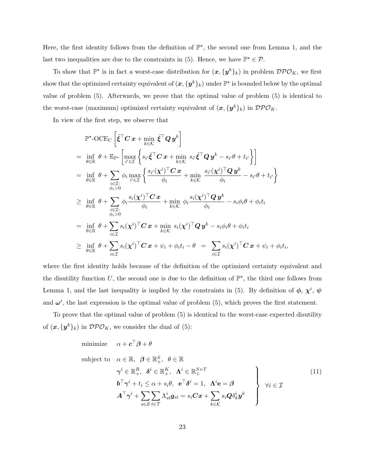Here, the first identity follows from the definition of  $\mathbb{P}^{\star}$ , the second one from Lemma 1, and the last two inequalities are due to the constraints in (5). Hence, we have  $\mathbb{P}^* \in \mathcal{P}$ .

To show that  $\mathbb{P}^*$  is in fact a worst-case distribution for  $(x, \{y^k\}_k)$  in problem  $\mathcal{DPO}_K$ , we first show that the optimized certainty equivalent of  $(\bm{x},\{\bm{y}^k\}_k)$  under  $\mathbb{P}^\star$  is bounded below by the optimal value of problem (5). Afterwards, we prove that the optimal value of problem (5) is identical to the worst-case (maximum) optimized certainty equivalent of  $(x, \{y^k\}_k)$  in  $\mathcal{DPO}_K$ .

In view of the first step, we observe that

$$
\mathbb{P}^{\star}\text{-OCE}_{U}\left[\tilde{\xi}^{\top}\mathbf{C}\mathbf{x}+\min_{k\in\mathcal{K}}\tilde{\xi}^{\top}\mathbf{Q}\mathbf{y}^{k}\right]
$$
\n
$$
=\inf_{\theta\in\mathbb{R}}\theta+\mathbb{E}_{\mathbb{P}^{\star}}\left[\max_{i'\in\mathcal{I}}\left\{s_{i'}\tilde{\xi}^{\top}\mathbf{C}\mathbf{x}+\min_{k\in\mathcal{K}}s_{i'}\tilde{\xi}^{\top}\mathbf{Q}\mathbf{y}^{k}-s_{i'}\theta+t_{i'}\right\}\right]
$$
\n
$$
=\inf_{\theta\in\mathbb{R}}\theta+\sum_{\substack{i\in\mathcal{I}:\\ \phi_{i}>0}}\phi_{i}\max_{i'\in\mathcal{I}}\left\{\frac{s_{i'}(\chi^{i})^{\top}\mathbf{C}\mathbf{x}}{\phi_{i}}+\min_{k\in\mathcal{K}}\frac{s_{i'}(\chi^{i})^{\top}\mathbf{Q}\mathbf{y}^{k}}{\phi_{i}}-s_{i'}\theta+t_{i'}\right\}
$$
\n
$$
\geq\inf_{\theta\in\mathbb{R}}\theta+\sum_{\substack{i\in\mathcal{I}:\\ \phi_{i}>0}}\phi_{i}\frac{s_{i}(\chi^{i})^{\top}\mathbf{C}\mathbf{x}}{\phi_{i}}+\min_{k\in\mathcal{K}}\phi_{i}\frac{s_{i}(\chi^{i})^{\top}\mathbf{Q}\mathbf{y}^{k}}{\phi_{i}}-s_{i}\phi_{i}\theta+\phi_{i}t_{i}
$$
\n
$$
=\inf_{\theta\in\mathbb{R}}\theta+\sum_{i\in\mathcal{I}}s_{i}(\chi^{i})^{\top}\mathbf{C}\mathbf{x}+\min_{k\in\mathcal{K}}s_{i}(\chi^{i})^{\top}\mathbf{Q}\mathbf{y}^{k}-s_{i}\phi_{i}\theta+\phi_{i}t_{i}
$$
\n
$$
\geq\inf_{\theta\in\mathbb{R}}\theta+\sum_{i\in\mathcal{I}}s_{i}(\chi^{i})^{\top}\mathbf{C}\mathbf{x}+\psi_{i}+\phi_{i}t_{i}-\theta=\sum_{i\in\mathcal{I}}s_{i}(\chi^{i})^{\top}\mathbf{C}\mathbf{x}+\psi_{i}+\phi_{i}t_{i},
$$

where the first identity holds because of the definition of the optimized certainty equivalent and the disutility function U, the second one is due to the definition of  $\mathbb{P}^{\star}$ , the third one follows from Lemma 1, and the last inequality is implied by the constraints in (5). By definition of  $\phi$ ,  $\chi^i$ ,  $\psi$ and  $\omega^i$ , the last expression is the optimal value of problem (5), which proves the first statement.

To prove that the optimal value of problem (5) is identical to the worst-case expected disutility of  $(\boldsymbol{x}, {\{\boldsymbol{y}^k\}}_k)$  in  $\mathcal{DPO}_K$ , we consider the dual of (5):

minimize  $\alpha + \boldsymbol{c}^\top \boldsymbol{\beta} + \theta$ 

subject to 
$$
\alpha \in \mathbb{R}, \ \beta \in \mathbb{R}_{+}^{S}, \ \theta \in \mathbb{R}
$$
  
\n $\gamma^{i} \in \mathbb{R}_{+}^{R}, \ \delta^{i} \in \mathbb{R}_{+}^{K}, \ \Lambda^{i} \in \mathbb{R}_{+}^{S \times T}$   
\n $b^{\top} \gamma^{i} + t_{i} \leq \alpha + s_{i} \theta, \ \mathbf{e}^{\top} \delta^{i} = 1, \ \Lambda^{i} \mathbf{e} = \beta$   
\n $A^{\top} \gamma^{i} + \sum_{s \in S} \sum_{t \in \mathcal{T}} \Lambda_{st}^{i} g_{st} = s_{i} C x + \sum_{k \in \mathcal{K}} s_{i} Q \delta_{k}^{i} y^{k}$  (11)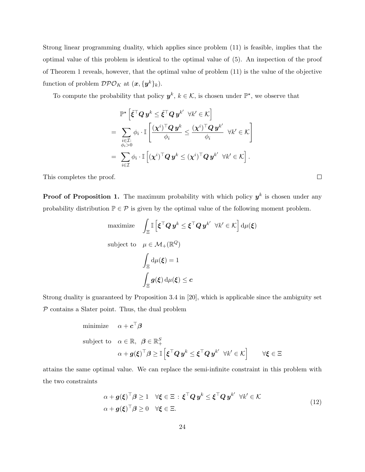Strong linear programming duality, which applies since problem (11) is feasible, implies that the optimal value of this problem is identical to the optimal value of (5). An inspection of the proof of Theorem 1 reveals, however, that the optimal value of problem (11) is the value of the objective function of problem  $\mathcal{DPO}_K$  at  $(\boldsymbol{x}, {\{\boldsymbol{y}^k\}}_k)$ .

To compute the probability that policy  $y^k, k \in \mathcal{K}$ , is chosen under  $\mathbb{P}^*$ , we observe that

$$
\mathbb{P}^\star \left[ \tilde{\xi}^\top \mathbf{Q} \, \boldsymbol{y}^k \leq \tilde{\xi}^\top \mathbf{Q} \, \boldsymbol{y}^{k'} \ \ \forall k' \in \mathcal{K} \right] \\ = \sum_{\substack{i \in \mathcal{I}: \\ \phi_i > 0}} \phi_i \cdot \mathbb{I} \left[ \frac{(\boldsymbol{\chi}^i)^\top \mathbf{Q} \, \boldsymbol{y}^k}{\phi_i} \leq \frac{(\boldsymbol{\chi}^i)^\top \mathbf{Q} \, \boldsymbol{y}^{k'}}{\phi_i} \ \ \forall k' \in \mathcal{K} \right] \\ = \sum_{i \in \mathcal{I}} \phi_i \cdot \mathbb{I} \left[ (\boldsymbol{\chi}^i)^\top \mathbf{Q} \, \boldsymbol{y}^k \leq (\boldsymbol{\chi}^i)^\top \mathbf{Q} \, \boldsymbol{y}^{k'} \ \ \forall k' \in \mathcal{K} \right].
$$

 $\Box$ 

This completes the proof.

**Proof of Proposition 1.** The maximum probability with which policy  $y^k$  is chosen under any probability distribution  $\mathbb{P} \in \mathcal{P}$  is given by the optimal value of the following moment problem.

$$
\begin{aligned}\n\text{maximize} & \quad \int_{\Xi} \mathbb{I} \left[ \boldsymbol{\xi}^{\top} \boldsymbol{Q} \, \boldsymbol{y}^{k} \leq \boldsymbol{\xi}^{\top} \boldsymbol{Q} \, \boldsymbol{y}^{k'} \ \forall k' \in \mathcal{K} \right] \, \mathrm{d}\mu(\boldsymbol{\xi}) \\
\text{subject to} & \quad \mu \in \mathcal{M}_{+}(\mathbb{R}^{Q}) \\
& \quad \int_{\Xi} \mathrm{d}\mu(\boldsymbol{\xi}) = 1 \\
& \quad \int_{\Xi} \boldsymbol{g}(\boldsymbol{\xi}) \, \mathrm{d}\mu(\boldsymbol{\xi}) \leq \boldsymbol{c}\n\end{aligned}
$$

Strong duality is guaranteed by Proposition 3.4 in [20], which is applicable since the ambiguity set  $P$  contains a Slater point. Thus, the dual problem

minimize 
$$
\alpha + c^{\top}\beta
$$
  
\nsubject to  $\alpha \in \mathbb{R}, \ \beta \in \mathbb{R}_{+}^{S}$   
\n $\alpha + g(\xi)^{\top}\beta \geq \mathbb{I} \left[ \xi^{\top} Q y^{k} \leq \xi^{\top} Q y^{k'} \ \forall k' \in \mathcal{K} \right] \qquad \forall \xi \in \Xi$ 

attains the same optimal value. We can replace the semi-infinite constraint in this problem with the two constraints

$$
\alpha + g(\xi)^{\top} \beta \ge 1 \quad \forall \xi \in \Xi : \xi^{\top} Q y^k \le \xi^{\top} Q y^{k'} \quad \forall k' \in \mathcal{K}
$$
  

$$
\alpha + g(\xi)^{\top} \beta \ge 0 \quad \forall \xi \in \Xi.
$$
 (12)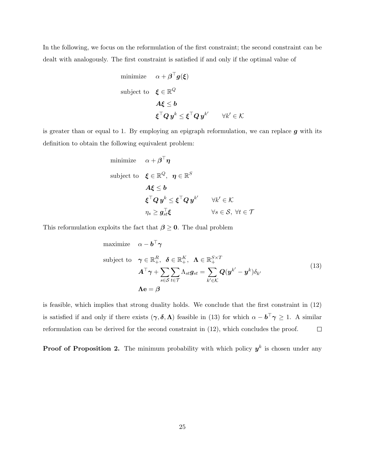In the following, we focus on the reformulation of the first constraint; the second constraint can be dealt with analogously. The first constraint is satisfied if and only if the optimal value of

minimize 
$$
\alpha + \boldsymbol{\beta}^{\top} \boldsymbol{g}(\boldsymbol{\xi})
$$
  
\nsubject to  $\boldsymbol{\xi} \in \mathbb{R}^{Q}$   
\n $\boldsymbol{A} \boldsymbol{\xi} \leq \boldsymbol{b}$   
\n $\boldsymbol{\xi}^{\top} \boldsymbol{Q} \boldsymbol{y}^{k} \leq \boldsymbol{\xi}^{\top} \boldsymbol{Q} \boldsymbol{y}^{k'} \qquad \forall k' \in \mathcal{K}$ 

is greater than or equal to 1. By employing an epigraph reformulation, we can replace  $g$  with its definition to obtain the following equivalent problem:

minimize 
$$
\alpha + \beta^{\top} \eta
$$
  
\nsubject to  $\boldsymbol{\xi} \in \mathbb{R}^{Q}$ ,  $\eta \in \mathbb{R}^{S}$   
\n $\mathbf{A} \boldsymbol{\xi} \leq \boldsymbol{b}$   
\n $\boldsymbol{\xi}^{\top} \boldsymbol{Q} \boldsymbol{y}^{k} \leq \boldsymbol{\xi}^{\top} \boldsymbol{Q} \boldsymbol{y}^{k'} \qquad \forall k' \in \mathcal{K}$   
\n $\eta_{s} \geq \boldsymbol{g}_{st}^{\top} \boldsymbol{\xi} \qquad \forall s \in \mathcal{S}, \forall t \in \mathcal{T}$ 

This reformulation exploits the fact that  $\beta \geq 0$ . The dual problem

maximize 
$$
\alpha - \mathbf{b}^{\top} \boldsymbol{\gamma}
$$
  
\nsubject to  $\boldsymbol{\gamma} \in \mathbb{R}_{+}^{R}, \ \boldsymbol{\delta} \in \mathbb{R}_{+}^{K}, \ \boldsymbol{\Lambda} \in \mathbb{R}_{+}^{S \times T}$   
\n
$$
\mathbf{A}^{\top} \boldsymbol{\gamma} + \sum_{s \in S} \sum_{t \in \mathcal{T}} \Lambda_{st} \mathbf{g}_{st} = \sum_{k' \in \mathcal{K}} \mathbf{Q}(\mathbf{y}^{k'} - \mathbf{y}^{k}) \delta_{k'}
$$
\n
$$
\mathbf{\Lambda} \mathbf{e} = \boldsymbol{\beta}
$$
\n(13)

is feasible, which implies that strong duality holds. We conclude that the first constraint in (12) is satisfied if and only if there exists  $(\gamma, \delta, \Lambda)$  feasible in (13) for which  $\alpha - \mathbf{b}^\top \gamma \geq 1$ . A similar reformulation can be derived for the second constraint in (12), which concludes the proof.  $\Box$ 

**Proof of Proposition 2.** The minimum probability with which policy  $y^k$  is chosen under any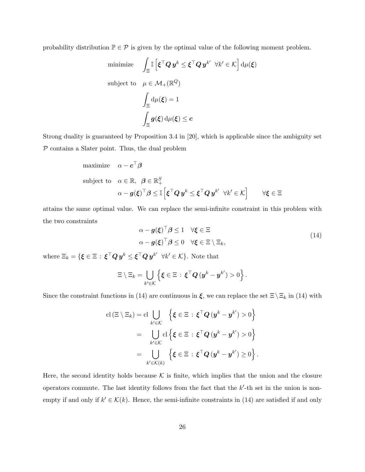probability distribution  $\mathbb{P} \in \mathcal{P}$  is given by the optimal value of the following moment problem.

minimize 
$$
\int_{\Xi} \mathbb{I} \left[ \boldsymbol{\xi}^{\top} \boldsymbol{Q} \, \boldsymbol{y}^{k} \leq \boldsymbol{\xi}^{\top} \boldsymbol{Q} \, \boldsymbol{y}^{k'} \ \forall k' \in \mathcal{K} \right] d\mu(\boldsymbol{\xi})
$$
  
subject to 
$$
\mu \in \mathcal{M}_{+}(\mathbb{R}^{Q})
$$

$$
\int_{\Xi} d\mu(\boldsymbol{\xi}) = 1
$$

$$
\int_{\Xi} \boldsymbol{g}(\boldsymbol{\xi}) d\mu(\boldsymbol{\xi}) \leq \boldsymbol{c}
$$

Strong duality is guaranteed by Proposition 3.4 in [20], which is applicable since the ambiguity set  $P$  contains a Slater point. Thus, the dual problem

maximize 
$$
\alpha - c^{\top} \beta
$$
  
\nsubject to  $\alpha \in \mathbb{R}, \ \beta \in \mathbb{R}_{+}^{S}$   
\n
$$
\alpha - g(\xi)^{\top} \beta \leq \mathbb{I} \left[ \xi^{\top} Q y^{k} \leq \xi^{\top} Q y^{k'} \ \forall k' \in \mathcal{K} \right] \qquad \forall \xi \in \Xi
$$

attains the same optimal value. We can replace the semi-infinite constraint in this problem with the two constraints

$$
\alpha - g(\xi)^{\top} \beta \le 1 \quad \forall \xi \in \Xi
$$
  
\n
$$
\alpha - g(\xi)^{\top} \beta \le 0 \quad \forall \xi \in \Xi \setminus \Xi_k,
$$
\n(14)

where  $\Xi_k = \{ \boldsymbol{\xi} \in \Xi \, : \, \boldsymbol{\xi}^\top \boldsymbol{Q} \, \boldsymbol{y}^k \leq \boldsymbol{\xi}^\top \boldsymbol{Q} \, \boldsymbol{y}^{k'} \enspace \forall k' \in \mathcal{K} \}.$  Note that

$$
\Xi \setminus \Xi_k = \bigcup_{k' \in \mathcal{K}} \left\{ \boldsymbol{\xi} \in \Xi \, : \, \boldsymbol{\xi}^\top \boldsymbol{Q} \, (\boldsymbol{y}^k - \boldsymbol{y}^{k'}) > 0 \right\}.
$$

Since the constraint functions in (14) are continuous in  $\xi$ , we can replace the set  $\Xi \setminus \Xi_k$  in (14) with

$$
\mathrm{cl}\left(\Xi\setminus\Xi_{k}\right)=\mathrm{cl}\bigcup_{k'\in\mathcal{K}}\left\{\boldsymbol{\xi}\in\Xi:\boldsymbol{\xi}^{\top}\boldsymbol{Q}\left(\boldsymbol{y}^{k}-\boldsymbol{y}^{k'}\right)>0\right\}
$$
\n
$$
=\bigcup_{k'\in\mathcal{K}}\mathrm{cl}\left\{\boldsymbol{\xi}\in\Xi:\boldsymbol{\xi}^{\top}\boldsymbol{Q}\left(\boldsymbol{y}^{k}-\boldsymbol{y}^{k'}\right)>0\right\}
$$
\n
$$
=\bigcup_{k'\in\mathcal{K}(k)}\left\{\boldsymbol{\xi}\in\Xi:\boldsymbol{\xi}^{\top}\boldsymbol{Q}\left(\boldsymbol{y}^{k}-\boldsymbol{y}^{k'}\right)\geq0\right\}.
$$

Here, the second identity holds because  $K$  is finite, which implies that the union and the closure operators commute. The last identity follows from the fact that the  $k'$ -th set in the union is nonempty if and only if  $k' \in \mathcal{K}(k)$ . Hence, the semi-infinite constraints in (14) are satisfied if and only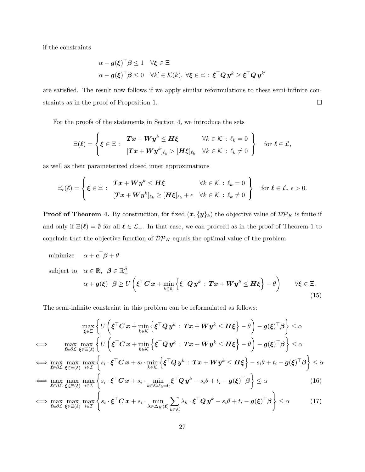if the constraints

$$
\alpha - g(\xi)^{\top} \beta \leq 1 \quad \forall \xi \in \Xi
$$
  

$$
\alpha - g(\xi)^{\top} \beta \leq 0 \quad \forall k' \in \mathcal{K}(k), \ \forall \xi \in \Xi \, : \, \xi^{\top} \mathbf{Q} \mathbf{y}^k \geq \xi^{\top} \mathbf{Q} \mathbf{y}^{k'}
$$

are satisfied. The result now follows if we apply similar reformulations to these semi-infinite constraints as in the proof of Proposition 1.  $\Box$ 

For the proofs of the statements in Section 4, we introduce the sets

$$
\Xi(\boldsymbol{\ell}) = \left\{ \boldsymbol{\xi} \in \Xi : \begin{array}{ll} \boldsymbol{T} \boldsymbol{x} + \boldsymbol{W} \boldsymbol{y}^k \leq \boldsymbol{H} \boldsymbol{\xi} & \forall k \in \mathcal{K} : \ell_k = 0 \\ [\boldsymbol{T} \boldsymbol{x} + \boldsymbol{W} \boldsymbol{y}^k]_{\ell_k} > [\boldsymbol{H} \boldsymbol{\xi}]_{\ell_k} & \forall k \in \mathcal{K} : \ell_k \neq 0 \end{array} \right\} \quad \text{for } \boldsymbol{\ell} \in \mathcal{L},
$$

as well as their parameterized closed inner approximations

$$
\Xi_{\epsilon}(\boldsymbol{\ell}) = \left\{ \boldsymbol{\xi} \in \Xi : \begin{array}{ll} \boldsymbol{T} \boldsymbol{x} + \boldsymbol{W} \boldsymbol{y}^k \leq \boldsymbol{H} \boldsymbol{\xi} & \forall k \in \mathcal{K} : \ell_k = 0 \\ [\boldsymbol{T} \boldsymbol{x} + \boldsymbol{W} \boldsymbol{y}^k]_{\ell_k} \geq [\boldsymbol{H} \boldsymbol{\xi}]_{\ell_k} + \epsilon & \forall k \in \mathcal{K} : \ell_k \neq 0 \end{array} \right\} \text{ for } \boldsymbol{\ell} \in \mathcal{L}, \epsilon > 0.
$$

**Proof of Theorem 4.** By construction, for fixed  $(x, \{y\}_k)$  the objective value of  $\mathcal{DP}_K$  is finite if and only if  $\Xi(\ell) = \emptyset$  for all  $\ell \in \mathcal{L}_+$ . In that case, we can proceed as in the proof of Theorem 1 to conclude that the objective function of  $\mathcal{DP}_K$  equals the optimal value of the problem

minimize  $\alpha + \boldsymbol{c}^\top \boldsymbol{\beta} + \theta$ subject to  $\alpha \in \mathbb{R}, \ \beta \in \mathbb{R}_+^S$  $\alpha + \boldsymbol{g}(\boldsymbol{\xi})^\top \boldsymbol{\beta} \geq U \left(\boldsymbol{\xi}^\top \boldsymbol{C}\, \boldsymbol{x} + \min_{k \in \mathcal{K}} \right)$  $\left\{ \boldsymbol{\xi}^\top \boldsymbol{Q} \, \boldsymbol{y}^k \, : \, \boldsymbol{T} \boldsymbol{x} + \boldsymbol{W} \boldsymbol{y}^k \leq \boldsymbol{H} \boldsymbol{\xi} \right\} - \theta \Bigg\} \qquad \forall \boldsymbol{\xi} \in \Xi.$ (15)

The semi-infinite constraint in this problem can be reformulated as follows:

$$
\max_{\xi \in \Xi} \left\{ U \left( \xi^{\top} C x + \min_{k \in \mathcal{K}} \left\{ \xi^{\top} Q y^{k} : Tx + W y^{k} \leq H \xi \right\} - \theta \right) - g(\xi)^{\top} \beta \right\} \leq \alpha
$$
\n
$$
\iff \max_{\xi \in \partial \mathcal{L}} \max_{\xi \in \Xi(\ell)} \left\{ U \left( \xi^{\top} C x + \min_{k \in \mathcal{K}} \left\{ \xi^{\top} Q y^{k} : Tx + W y^{k} \leq H \xi \right\} - \theta \right) - g(\xi)^{\top} \beta \right\} \leq \alpha
$$
\n
$$
\iff \max_{\xi \in \partial \mathcal{L}} \max_{\xi \in \Xi(\ell)} \max_{i \in \mathcal{I}} \left\{ s_{i} \cdot \xi^{\top} C x + s_{i} \cdot \min_{k \in \mathcal{K}} \left\{ \xi^{\top} Q y^{k} : Tx + W y^{k} \leq H \xi \right\} - s_{i} \theta + t_{i} - g(\xi)^{\top} \beta \right\} \leq \alpha
$$
\n
$$
\iff \max_{\xi \in \partial \mathcal{L}} \max_{\xi \in \Xi(\ell)} \max_{i \in \mathcal{I}} \left\{ s_{i} \cdot \xi^{\top} C x + s_{i} \cdot \min_{k \in \mathcal{K}: \ell_{k} = 0} \xi^{\top} Q y^{k} - s_{i} \theta + t_{i} - g(\xi)^{\top} \beta \right\} \leq \alpha
$$
\n
$$
\iff \max_{\xi \in \mathcal{I}} \max_{i \in \mathcal{I}} \left\{ s_{i} \cdot \xi^{\top} C x + s_{i} \cdot \min_{k \in \mathcal{K}: \ell_{k} = 0} \xi^{\top} Q y^{k} - s_{i} \theta + t_{i} - g(\xi)^{\top} \beta \right\} \leq \alpha
$$
\n
$$
(16)
$$

$$
\iff \max_{\boldsymbol{\ell} \in \partial \mathcal{L}} \max_{\boldsymbol{\xi} \in \Xi(\boldsymbol{\ell})} \max_{i \in \mathcal{I}} \left\{ s_i \cdot \boldsymbol{\xi}^\top \boldsymbol{C} \, \boldsymbol{x} + s_i \cdot \min_{\boldsymbol{\lambda} \in \Delta_K(\boldsymbol{\ell})} \sum_{k \in \mathcal{K}} \lambda_k \cdot \boldsymbol{\xi}^\top \boldsymbol{Q} \, \boldsymbol{y}^k - s_i \theta + t_i - \boldsymbol{g}(\boldsymbol{\xi})^\top \boldsymbol{\beta} \right\} \leq \alpha \tag{17}
$$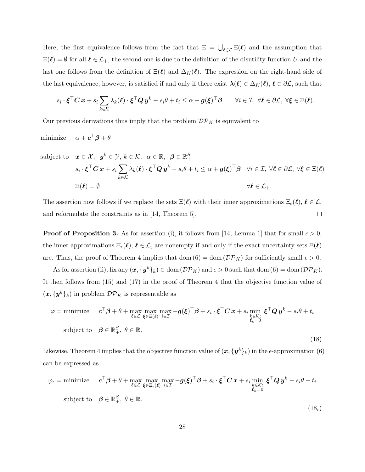Here, the first equivalence follows from the fact that  $\Xi = \bigcup_{\ell \in \mathcal{L}} \Xi(\ell)$  and the assumption that  $\Xi(\ell) = \emptyset$  for all  $\ell \in \mathcal{L}_+$ , the second one is due to the definition of the disutility function U and the last one follows from the definition of  $\Xi(\ell)$  and  $\Delta_K(\ell)$ . The expression on the right-hand side of the last equivalence, however, is satisfied if and only if there exist  $\lambda(\ell) \in \Delta_K(\ell), \ell \in \partial \mathcal{L}$ , such that

$$
s_i \cdot \boldsymbol{\xi}^\top \boldsymbol{C} \, \boldsymbol{x} + s_i \sum_{k \in \mathcal{K}} \lambda_k(\boldsymbol{\ell}) \cdot \boldsymbol{\xi}^\top \boldsymbol{Q} \, \boldsymbol{y}^k - s_i \boldsymbol{\theta} + t_i \leq \alpha + \boldsymbol{g}(\boldsymbol{\xi})^\top \boldsymbol{\beta} \qquad \forall i \in \mathcal{I}, \ \forall \boldsymbol{\ell} \in \partial \mathcal{L}, \ \forall \boldsymbol{\xi} \in \Xi(\boldsymbol{\ell}).
$$

Our previous derivations thus imply that the problem  $\mathcal{DP}_K$  is equivalent to

minimize  $\alpha + \boldsymbol{c}^\top \boldsymbol{\beta} + \theta$ 

subject to 
$$
\boldsymbol{x} \in \mathcal{X}, \ \boldsymbol{y}^k \in \mathcal{Y}, k \in \mathcal{K}, \ \alpha \in \mathbb{R}, \ \beta \in \mathbb{R}_+^S
$$
  
\n
$$
s_i \cdot \boldsymbol{\xi}^\top \boldsymbol{C} \, \boldsymbol{x} + s_i \sum_{k \in \mathcal{K}} \lambda_k(\boldsymbol{\ell}) \cdot \boldsymbol{\xi}^\top \boldsymbol{Q} \, \boldsymbol{y}^k - s_i \boldsymbol{\theta} + t_i \leq \alpha + \boldsymbol{g}(\boldsymbol{\xi})^\top \boldsymbol{\beta} \quad \forall i \in \mathcal{I}, \ \forall \boldsymbol{\ell} \in \partial \mathcal{L}, \ \forall \boldsymbol{\xi} \in \Xi(\boldsymbol{\ell})
$$
\n
$$
\Xi(\boldsymbol{\ell}) = \emptyset \qquad \qquad \forall \boldsymbol{\ell} \in \mathcal{L}_+.
$$

The assertion now follows if we replace the sets  $\Xi(\ell)$  with their inner approximations  $\Xi_{\epsilon}(\ell), \ell \in \mathcal{L}$ , and reformulate the constraints as in [14, Theorem 5].  $\Box$ 

**Proof of Proposition 3.** As for assertion (i), it follows from [14, Lemma 1] that for small  $\epsilon > 0$ , the inner approximations  $\Xi_{\epsilon}(\ell), \ell \in \mathcal{L}$ , are nonempty if and only if the exact uncertainty sets  $\Xi(\ell)$ are. Thus, the proof of Theorem 4 implies that dom  $(6) = \text{dom}(\mathcal{DP}_K)$  for sufficiently small  $\epsilon > 0$ .

As for assertion (ii), fix any  $(x, \{y^k\}_k) \in \text{dom}(\mathcal{DP}_K)$  and  $\epsilon > 0$  such that  $\text{dom}(6) = \text{dom}(\mathcal{DP}_K)$ . It then follows from (15) and (17) in the proof of Theorem 4 that the objective function value of  $(x, \{y^k\}_k)$  in problem  $\mathcal{DP}_K$  is representable as

$$
\varphi = \text{minimize} \quad \mathbf{c}^{\top} \boldsymbol{\beta} + \theta + \max_{\boldsymbol{\ell} \in \mathcal{L}} \max_{\boldsymbol{\xi} \in \Xi(\boldsymbol{\ell})} \max_{i \in \mathcal{I}} -\mathbf{g}(\boldsymbol{\xi})^{\top} \boldsymbol{\beta} + s_i \cdot \boldsymbol{\xi}^{\top} \mathbf{C} \mathbf{x} + s_i \min_{\substack{k \in \mathcal{K}: \\ \boldsymbol{\ell}_k = 0}} \boldsymbol{\xi}^{\top} \mathbf{Q} \mathbf{y}^k - s_i \theta + t_i
$$
\nsubject to  $\boldsymbol{\beta} \in \mathbb{R}^S_+, \ \theta \in \mathbb{R}.$ \n
$$
(18)
$$

Likewise, Theorem 4 implies that the objective function value of  $(\bm{x},\{\bm{y}^k\}_k)$  in the  $\epsilon$ -approximation  $(6)$ can be expressed as

$$
\varphi_{\epsilon} = \text{minimize} \quad \mathbf{c}^{\top} \boldsymbol{\beta} + \theta + \max_{\ell \in \mathcal{L}} \max_{\xi \in \Xi_{\epsilon}(\ell)} \max_{i \in \mathcal{I}} -g(\xi)^{\top} \boldsymbol{\beta} + s_i \cdot \xi^{\top} \mathbf{C} \mathbf{x} + s_i \min_{\substack{k \in \mathcal{K}: \\ \ell_k = 0}} \xi^{\top} \mathbf{Q} \mathbf{y}^k - s_i \theta + t_i
$$
\nsubject to  $\boldsymbol{\beta} \in \mathbb{R}^S_+, \ \theta \in \mathbb{R}.$ \n
$$
(18_{\epsilon})
$$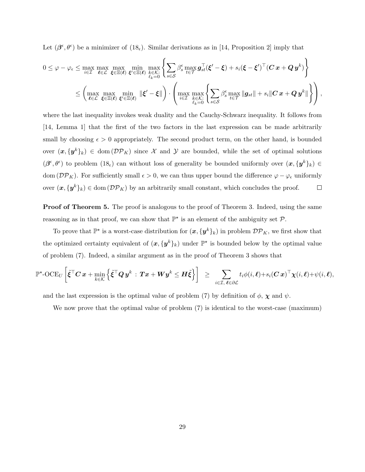Let  $(\beta^{\epsilon}, \theta^{\epsilon})$  be a minimizer of  $(18_{\epsilon})$ . Similar derivations as in [14, Proposition 2] imply that

$$
0 \leq \varphi - \varphi_{\epsilon} \leq \max_{i \in \mathcal{I}} \max_{\boldsymbol{\ell} \in \mathcal{L}} \max_{\boldsymbol{\ell} \in \mathcal{L}} \max_{\boldsymbol{\ell} \in \mathcal{L}} \min_{\boldsymbol{\ell} \in \mathcal{L}} \max_{\boldsymbol{\ell} \in \mathcal{L}} \min_{\boldsymbol{\ell} \in \mathcal{L}} \max_{\boldsymbol{\ell} \in \mathcal{L}} \left\{ \sum_{s \in \mathcal{S}} \beta_s^{\epsilon} \max_{t \in \mathcal{T}} \boldsymbol{g}_{st}^{\top}(\boldsymbol{\xi}' - \boldsymbol{\xi}) + s_i(\boldsymbol{\xi} - \boldsymbol{\xi}')^{\top}(\boldsymbol{C} \, \boldsymbol{x} + \boldsymbol{Q} \, \boldsymbol{y}^k) \right\} \\ \leq \left( \max_{\boldsymbol{\ell} \in \mathcal{L}} \max_{\boldsymbol{\xi} \in \mathcal{L}(\boldsymbol{\ell})} \min_{\boldsymbol{\xi}' \in \mathcal{L}(\boldsymbol{\ell})} \|\boldsymbol{\xi}' - \boldsymbol{\xi}\| \right) \cdot \left( \max_{i \in \mathcal{I}} \max_{\boldsymbol{\ell} \in \mathcal{K}:} \left\{ \sum_{s \in \mathcal{S}} \beta_s^{\epsilon} \max_{t \in \mathcal{T}} \|\boldsymbol{g}_{st}\| + s_i \|\boldsymbol{C} \, \boldsymbol{x} + \boldsymbol{Q} \, \boldsymbol{y}^k\| \right\} \right),
$$

where the last inequality invokes weak duality and the Cauchy-Schwarz inequality. It follows from [14, Lemma 1] that the first of the two factors in the last expression can be made arbitrarily small by choosing  $\epsilon > 0$  appropriately. The second product term, on the other hand, is bounded over  $(x, \{y^k\}_k) \in \text{dom}(\mathcal{DP}_K)$  since X and Y are bounded, while the set of optimal solutions  $(\beta^{\epsilon}, \theta^{\epsilon})$  to problem  $(18_{\epsilon})$  can without loss of generality be bounded uniformly over  $(\bm{x}, {\{\bm{y}^k\}}_k) \in$ dom ( $\mathcal{DP}_K$ ). For sufficiently small  $\epsilon > 0$ , we can thus upper bound the difference  $\varphi - \varphi_{\epsilon}$  uniformly over  $(x, \{y^k\}_k) \in \text{dom}(\mathcal{DP}_K)$  by an arbitrarily small constant, which concludes the proof.  $\Box$ 

**Proof of Theorem 5.** The proof is analogous to the proof of Theorem 3. Indeed, using the same reasoning as in that proof, we can show that  $\mathbb{P}^*$  is an element of the ambiguity set  $\mathcal{P}$ .

To prove that  $\mathbb{P}^*$  is a worst-case distribution for  $(x, \{y^k\}_k)$  in problem  $\mathcal{DP}_K$ , we first show that the optimized certainty equivalent of  $(x, \{y^k\}_k)$  under  $\mathbb{P}^*$  is bounded below by the optimal value of problem (7). Indeed, a similar argument as in the proof of Theorem 3 shows that

$$
\mathbb{P}^\star\text{-OCE}_U\left[ \tilde{\boldsymbol{\xi}}^\top \boldsymbol{C}\, \boldsymbol{x} + \min_{k\in\mathcal{K}} \left\{ \tilde{\boldsymbol{\xi}}^\top \boldsymbol{Q}\, \boldsymbol{y}^k \,:\, \boldsymbol{T}\boldsymbol{x} + \boldsymbol{W}\boldsymbol{y}^k \leq \boldsymbol{H}\tilde{\boldsymbol{\xi}} \right\} \right] \;\; \geq \;\; \sum_{i\in\mathcal{I}, \ \boldsymbol{\ell}\in\partial\mathcal{L}} t_i \phi(i,\boldsymbol{\ell}) + s_i(\boldsymbol{C}\, \boldsymbol{x})^\top \boldsymbol{\chi}(i,\boldsymbol{\ell}) + \psi(i,\boldsymbol{\ell}),
$$

and the last expression is the optimal value of problem (7) by definition of  $\phi$ ,  $\chi$  and  $\psi$ .

We now prove that the optimal value of problem (7) is identical to the worst-case (maximum)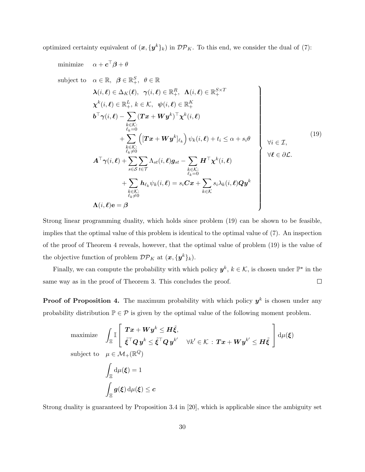optimized certainty equivalent of  $(x, \{y^k\}_k)$  in  ${\cal DP}_K$ . To this end, we consider the dual of (7):

minimize 
$$
\alpha + c^{\top}\beta + \theta
$$
  
\nsubject to  $\alpha \in \mathbb{R}, \ \beta \in \mathbb{R}_{+}^{S}, \ \theta \in \mathbb{R}$   
\n $\lambda(i,\ell) \in \Delta_{K}(\ell), \ \gamma(i,\ell) \in \mathbb{R}_{+}^{R}, \ \Lambda(i,\ell) \in \mathbb{R}_{+}^{S \times T}$   
\n $\chi^{k}(i,\ell) \in \mathbb{R}_{+}^{L}, k \in \mathcal{K}, \ \psi(i,\ell) \in \mathbb{R}_{+}^{K}$   
\n $b^{\top}\gamma(i,\ell) - \sum_{\substack{k \in \mathcal{K}: \\ \ell_{k} = 0}} (Tx + Wy^{k})^{\top}\chi^{k}(i,\ell)$   
\n $+ \sum_{\substack{k \in \mathcal{K}: \\ \ell_{k} \neq 0}} \left( [Tx + Wy^{k}]_{\ell_{k}} \right) \psi_{k}(i,\ell) + t_{i} \leq \alpha + s_{i}\theta$   
\n $+ \sum_{s \in S} \left[ (Tx + Wy^{k}]_{\ell_{k}} \right) \psi_{k}(i,\ell)$   
\n $+ \sum_{s \in S} \sum_{t \in \mathcal{T}} \Lambda_{st}(i,\ell)g_{st} - \sum_{\substack{k \in \mathcal{K}: \\ \ell_{k} = 0}} H^{\top}\chi^{k}(i,\ell)$   
\n $+ \sum_{\substack{k \in \mathcal{K}: \\ \ell_{k} \neq 0}} h_{\ell_{k}}\psi_{k}(i,\ell) = s_{i}Cx + \sum_{k \in \mathcal{K}} s_{i}\lambda_{k}(i,\ell)Qy^{k}$   
\n $\Lambda(i,\ell) e = \beta$  (19)

Strong linear programming duality, which holds since problem (19) can be shown to be feasible, implies that the optimal value of this problem is identical to the optimal value of (7). An inspection of the proof of Theorem 4 reveals, however, that the optimal value of problem (19) is the value of the objective function of problem  $\mathcal{DP}_K$  at  $(\boldsymbol{x}, {\{\boldsymbol{y}^k\}}_k)$ .

Finally, we can compute the probability with which policy  $y^k, k \in \mathcal{K}$ , is chosen under  $\mathbb{P}^*$  in the same way as in the proof of Theorem 3. This concludes the proof.  $\Box$ 

**Proof of Proposition 4.** The maximum probability with which policy  $y^k$  is chosen under any probability distribution  $\mathbb{P} \in \mathcal{P}$  is given by the optimal value of the following moment problem.

maximize 
$$
\int_{\Xi} \mathbb{I} \left[ \begin{array}{l} Tx + Wy^{k} \leq H\tilde{\xi}, \\ \tilde{\xi}^{\top}Qy^{k} \leq \tilde{\xi}^{\top}Qy^{k'} \quad \forall k' \in \mathcal{K} : Tx + Wy^{k'} \leq H\tilde{\xi} \end{array} \right] d\mu(\xi)
$$
subject to 
$$
\mu \in \mathcal{M}_{+}(\mathbb{R}^{Q})
$$

$$
\int_{\Xi} d\mu(\xi) = 1
$$

$$
\int_{\Xi} g(\xi) d\mu(\xi) \leq c
$$

Strong duality is guaranteed by Proposition 3.4 in [20], which is applicable since the ambiguity set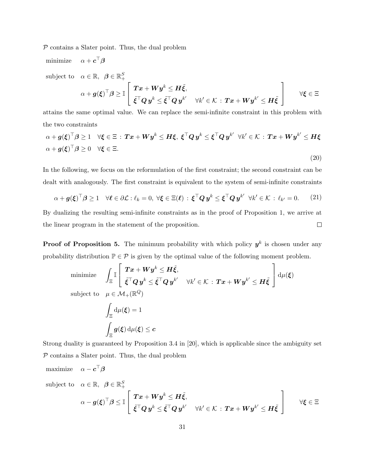$P$  contains a Slater point. Thus, the dual problem

minimize  $\alpha+\boldsymbol{c}^\top\boldsymbol{\beta}$ subject to  $\alpha \in \mathbb{R}, \ \beta \in \mathbb{R}_+^S$  $\alpha + \bm{g}(\bm{\xi})^\top \bm{\beta} \geq \mathbb{I}$  $\sqrt{ }$  $\overline{1}$  $\boldsymbol{T} \boldsymbol{x} + \boldsymbol{W} \boldsymbol{y}^k \leq \boldsymbol{H} \tilde{\boldsymbol{\xi}},$  $\tilde{\xi}^\top Q\, y^k \leq \tilde{\xi}^\top Q\, y^{k'} \quad \forall k'\in\mathcal{K} \, : \, \bm{T}\bm{x} + \bm{W} \bm{y}^{k'} \leq \bm{H}\tilde{\xi}$ 1 <sup>∀</sup><sup>ξ</sup> <sup>∈</sup> <sup>Ξ</sup>

attains the same optimal value. We can replace the semi-infinite constraint in this problem with the two constraints

$$
\alpha + g(\xi)^{\top} \beta \ge 1 \quad \forall \xi \in \Xi : Tx + Wy^k \le H\xi, \ \xi^{\top} Q \ y^k \le \xi^{\top} Q \ y^{k'} \ \forall k' \in \mathcal{K} : Tx + Wy^{k'} \le H\xi
$$
  

$$
\alpha + g(\xi)^{\top} \beta \ge 0 \quad \forall \xi \in \Xi.
$$
  
(20)

In the following, we focus on the reformulation of the first constraint; the second constraint can be dealt with analogously. The first constraint is equivalent to the system of semi-infinite constraints

$$
\alpha + g(\xi)^{\top} \beta \ge 1 \quad \forall \ell \in \partial \mathcal{L} : \ell_k = 0, \ \forall \xi \in \Xi(\ell) : \xi^{\top} Q y^k \le \xi^{\top} Q y^{k'} \ \forall k' \in \mathcal{K} : \ell_{k'} = 0. \tag{21}
$$

By dualizing the resulting semi-infinite constraints as in the proof of Proposition 1, we arrive at the linear program in the statement of the proposition.  $\Box$ 

**Proof of Proposition 5.** The minimum probability with which policy  $y^k$  is chosen under any probability distribution  $\mathbb{P} \in \mathcal{P}$  is given by the optimal value of the following moment problem.

minimize 
$$
\int_{\Xi} \mathbb{I} \left[ \begin{array}{l} \boldsymbol{T} \boldsymbol{x} + \boldsymbol{W} \boldsymbol{y}^{k} \leq \boldsymbol{H} \tilde{\boldsymbol{\xi}}, \\ \tilde{\boldsymbol{\xi}}^{\top} \boldsymbol{Q} \boldsymbol{y}^{k} \leq \tilde{\boldsymbol{\xi}}^{\top} \boldsymbol{Q} \boldsymbol{y}^{k'} \quad \forall k' \in \mathcal{K} : \boldsymbol{T} \boldsymbol{x} + \boldsymbol{W} \boldsymbol{y}^{k'} \leq \boldsymbol{H} \tilde{\boldsymbol{\xi}} \end{array} \right] d\mu(\boldsymbol{\xi})
$$
subject to 
$$
\mu \in \mathcal{M}_{+}(\mathbb{R}^{Q})
$$

$$
\int_{\Xi} d\mu(\boldsymbol{\xi}) = 1
$$

$$
\int_{\Xi} \boldsymbol{g}(\boldsymbol{\xi}) d\mu(\boldsymbol{\xi}) \leq \boldsymbol{c}
$$

Strong duality is guaranteed by Proposition 3.4 in [20], which is applicable since the ambiguity set  $P$  contains a Slater point. Thus, the dual problem

$$
\text{maximize} \quad \alpha - \boldsymbol{c}^\top \boldsymbol{\beta}
$$

subject to  $\alpha \in \mathbb{R}, \ \beta \in \mathbb{R}_+^S$ 

$$
\alpha - g(\xi)^{\top} \beta \leq \mathbb{I}\left[\begin{array}{cc} Tx + W y^k \leq H \tilde{\xi}, \\ \tilde{\xi}^{\top} Q y^k \leq \tilde{\xi}^{\top} Q y^{k'} & \forall k' \in \mathcal{K} \, : \, Tx + W y^{k'} \leq H \tilde{\xi} \end{array}\right] \qquad \forall \xi \in \Xi
$$